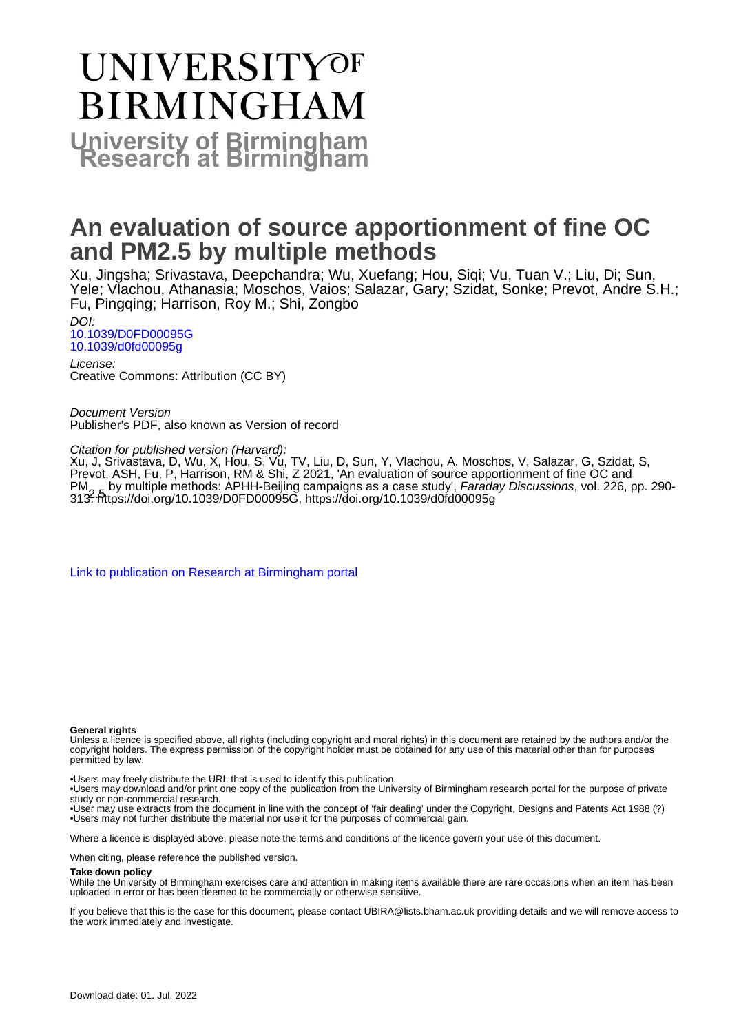# **UNIVERSITYOF BIRMINGHAM University of Birmingham**

# **An evaluation of source apportionment of fine OC and PM2.5 by multiple methods**

Xu, Jingsha; Srivastava, Deepchandra; Wu, Xuefang; Hou, Siqi; Vu, Tuan V.; Liu, Di; Sun, Yele; Vlachou, Athanasia; Moschos, Vaios; Salazar, Gary; Szidat, Sonke; Prevot, Andre S.H.; Fu, Pingqing; Harrison, Roy M.; Shi, Zongbo

DOI: [10.1039/D0FD00095G](https://doi.org/10.1039/D0FD00095G) [10.1039/d0fd00095g](https://doi.org/10.1039/d0fd00095g)

License: Creative Commons: Attribution (CC BY)

Document Version Publisher's PDF, also known as Version of record

Citation for published version (Harvard):

Xu, J, Srivastava, D, Wu, X, Hou, S, Vu, TV, Liu, D, Sun, Y, Vlachou, A, Moschos, V, Salazar, G, Szidat, S, Prevot, ASH, Fu, P, Harrison, RM & Shi, Z 2021, 'An evaluation of source apportionment of fine OC and PM<sub>2, E</sub> by multiple methods: APHH-Beijing campaigns as a case study', *Faraday Discussions*, vol. 226, pp. 290-<br>313.<https://doi.org/10.1039/D0FD00095G>, <https://doi.org/10.1039/d0fd00095g>

[Link to publication on Research at Birmingham portal](https://birmingham.elsevierpure.com/en/publications/abee8641-b78c-42cc-bbe3-08ac2a5b512b)

### **General rights**

Unless a licence is specified above, all rights (including copyright and moral rights) in this document are retained by the authors and/or the copyright holders. The express permission of the copyright holder must be obtained for any use of this material other than for purposes permitted by law.

• Users may freely distribute the URL that is used to identify this publication.

• Users may download and/or print one copy of the publication from the University of Birmingham research portal for the purpose of private study or non-commercial research.

• User may use extracts from the document in line with the concept of 'fair dealing' under the Copyright, Designs and Patents Act 1988 (?) • Users may not further distribute the material nor use it for the purposes of commercial gain.

Where a licence is displayed above, please note the terms and conditions of the licence govern your use of this document.

When citing, please reference the published version.

### **Take down policy**

While the University of Birmingham exercises care and attention in making items available there are rare occasions when an item has been uploaded in error or has been deemed to be commercially or otherwise sensitive.

If you believe that this is the case for this document, please contact UBIRA@lists.bham.ac.uk providing details and we will remove access to the work immediately and investigate.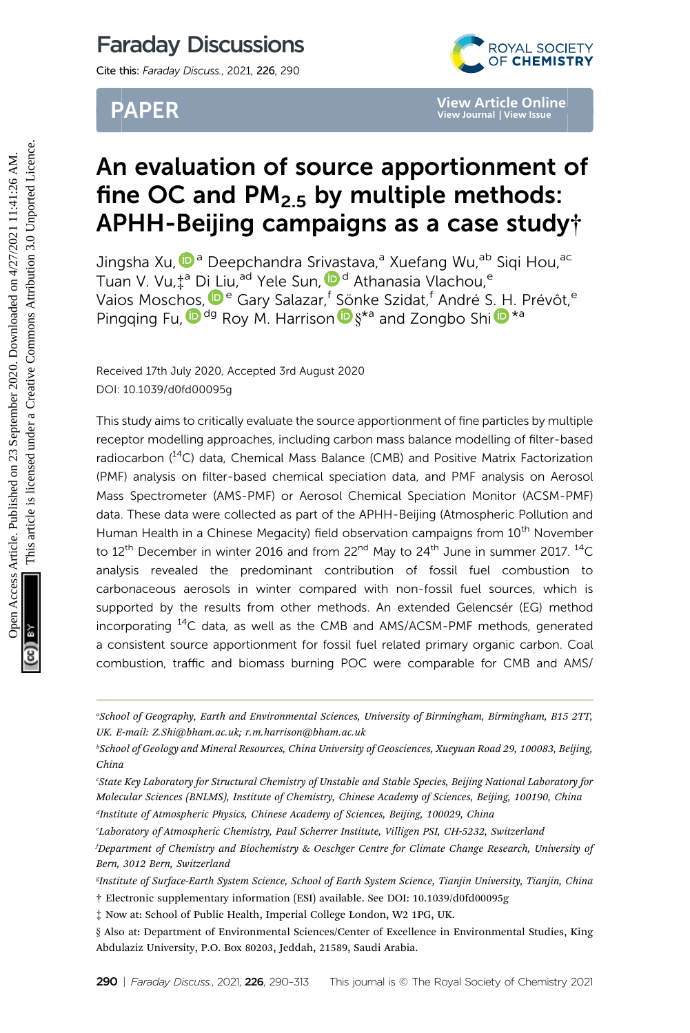# Faraday Discussions

Cite this: Faraday Discuss., 2021, 226, 290

# PAPER



# An evaluation of source apportionment of fine OC and  $PM<sub>2.5</sub>$  by multiple methods: APHH-Beijing campaigns as a case study†

Jingsha Xu[,](http://orcid.org/0000-0002-2684-5226) <sup>ip a</sup> Deepchandra Srivastava,<sup>a</sup> Xuefang Wu, <sup>ab</sup> Sigi Hou, <sup>ac</sup> Tuan V. Vu, <sup>† a</sup> [Di](http://orcid.org/0000-0002-6251-4117) [L](http://orcid.org/0000-0002-6251-4117)iu[,](http://orcid.org/0000-0003-2354-0221) <sup>ad</sup> Yele Sun, D<sup>d</sup> Athanasia Vlachou,<sup>e</sup> Vaios Mosc[hos](http://orcid.org/0000-0001-6249-2280),  $\mathbf{P}^{\text{e}}$  Gary Salazar,<sup>f</sup> Sönke Szidat,<sup>f</sup> André [S.](http://orcid.org/0000-0002-7157-543X) [H](http://orcid.org/0000-0002-7157-543X). Prévôt,<sup>e</sup> Pingging Fu,  $\mathbf{D}^{dg}$  Roy M. Harrison  $\mathbf{D} \delta^{*a}$  and Zongbo Shi  $\mathbf{D}^{*a}$ 

Received 17th July 2020, Accepted 3rd August 2020 DOI: 10.1039/d0fd00095g

This study aims to critically evaluate the source apportionment of fine particles by multiple receptor modelling approaches, including carbon mass balance modelling of filter-based radiocarbon (<sup>14</sup>C) data, Chemical Mass Balance (CMB) and Positive Matrix Factorization (PMF) analysis on filter-based chemical speciation data, and PMF analysis on Aerosol Mass Spectrometer (AMS-PMF) or Aerosol Chemical Speciation Monitor (ACSM-PMF) data. These data were collected as part of the APHH-Beijing (Atmospheric Pollution and Human Health in a Chinese Megacity) field observation campaigns from 10<sup>th</sup> November to 12<sup>th</sup> December in winter 2016 and from 22<sup>nd</sup> May to 24<sup>th</sup> June in summer 2017. <sup>14</sup>C analysis revealed the predominant contribution of fossil fuel combustion to carbonaceous aerosols in winter compared with non-fossil fuel sources, which is supported by the results from other methods. An extended Gelencsér (EG) method incorporating <sup>14</sup>C data, as well as the CMB and AMS/ACSM-PMF methods, generated a consistent source apportionment for fossil fuel related primary organic carbon. Coal combustion, traffic and biomass burning POC were comparable for CMB and AMS/ **PAPER**<br> **Solution of source apportionment**<br> **Solution Simple Methods:**<br> **Solution Simple Methods:**<br> **Solution Simple Methods:**<br>
<br> **Solution N. Vu.<sup>42</sup> Digiting Campaigns as a case study<br>
Jingsha Xu,<sup>0</sup><sup>3</sup> Deepchandra Sri** 

a School of Geography, Earth and Environmental Sciences, University of Birmingham, Birmingham, B15 2TT, UK. E-mail: Z.Shi@bham.ac.uk; r.m.harrison@bham.ac.uk

b School of Geology and Mineral Resources, China University of Geosciences, Xueyuan Road 29, 100083, Beijing, China

c State Key Laboratory for Structural Chemistry of Unstable and Stable Species, Beijing National Laboratory for Molecular Sciences (BNLMS), Institute of Chemistry, Chinese Academy of Sciences, Beijing, 100190, China

<sup>&</sup>lt;sup>d</sup>Institute of Atmospheric Physics, Chinese Academy of Sciences, Beijing, 100029, China

e Laboratory of Atmospheric Chemistry, Paul Scherrer Institute, Villigen PSI, CH-5232, Switzerland f Department of Chemistry and Biochemistry & Oeschger Centre for Climate Change Research, University of Bern, 3012 Bern, Switzerland

g Institute of Surface-Earth System Science, School of Earth System Science, Tianjin University, Tianjin, China † Electronic supplementary information (ESI) available. See DOI: 10.1039/d0fd00095g

<sup>‡</sup> Now at: School of Public Health, Imperial College London, W2 1PG, UK.

<sup>§</sup> Also at: Department of Environmental Sciences/Center of Excellence in Environmental Studies, King Abdulaziz University, P.O. Box 80203, Jeddah, 21589, Saudi Arabia.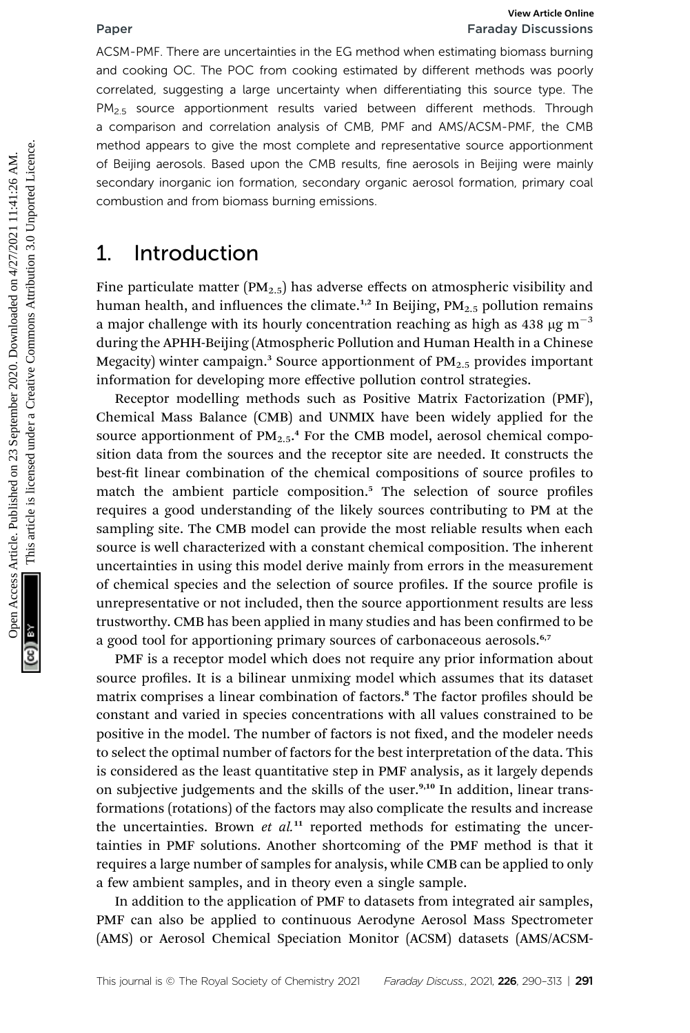# Paper Faraday Discussions

ACSM-PMF. There are uncertainties in the EG method when estimating biomass burning and cooking OC. The POC from cooking estimated by different methods was poorly correlated, suggesting a large uncertainty when differentiating this source type. The PM<sub>2.5</sub> source apportionment results varied between different methods. Through a comparison and correlation analysis of CMB, PMF and AMS/ACSM-PMF, the CMB method appears to give the most complete and representative source apportionment of Beijing aerosols. Based upon the CMB results, fine aerosols in Beijing were mainly secondary inorganic ion formation, secondary organic aerosol formation, primary coal combustion and from biomass burning emissions.

# 1. Introduction

Fine particulate matter ( $PM_{2.5}$ ) has adverse effects on atmospheric visibility and human health, and influences the climate.<sup>1,2</sup> In Beijing,  $PM_{2.5}$  pollution remains a major challenge with its hourly concentration reaching as high as 438  $\mu$ g m<sup>-3</sup> during the APHH-Beijing (Atmospheric Pollution and Human Health in a Chinese Megacity) winter campaign.<sup>3</sup> Source apportionment of  $PM_{2.5}$  provides important information for developing more effective pollution control strategies.

Receptor modelling methods such as Positive Matrix Factorization (PMF), Chemical Mass Balance (CMB) and UNMIX have been widely applied for the source apportionment of PM<sub>2.5</sub>,<sup>4</sup> For the CMB model, aerosol chemical composition data from the sources and the receptor site are needed. It constructs the best-fit linear combination of the chemical compositions of source profiles to match the ambient particle composition.<sup>5</sup> The selection of source profiles requires a good understanding of the likely sources contributing to PM at the sampling site. The CMB model can provide the most reliable results when each source is well characterized with a constant chemical composition. The inherent uncertainties in using this model derive mainly from errors in the measurement of chemical species and the selection of source profiles. If the source profile is unrepresentative or not included, then the source apportionment results are less trustworthy. CMB has been applied in many studies and has been confirmed to be a good tool for apportioning primary sources of carbonaceous aerosols.<sup>6,7</sup> **Paper**<br> **Excelute Commonstrant Commonstrant Commonstrant Commonstrant Commonstrant Commonstrant Commonstrant Commonstrant Commonstrant Commonstrant Commonstrant Commonstrant Commonstrant Commonstrant Commonstrant Commonst** 

> PMF is a receptor model which does not require any prior information about source profiles. It is a bilinear unmixing model which assumes that its dataset matrix comprises a linear combination of factors.<sup>8</sup> The factor profiles should be constant and varied in species concentrations with all values constrained to be positive in the model. The number of factors is not fixed, and the modeler needs to select the optimal number of factors for the best interpretation of the data. This is considered as the least quantitative step in PMF analysis, as it largely depends on subjective judgements and the skills of the user.<sup>9,10</sup> In addition, linear transformations (rotations) of the factors may also complicate the results and increase the uncertainties. Brown et  $al^{11}$  reported methods for estimating the uncertainties in PMF solutions. Another shortcoming of the PMF method is that it requires a large number of samples for analysis, while CMB can be applied to only a few ambient samples, and in theory even a single sample.

> In addition to the application of PMF to datasets from integrated air samples, PMF can also be applied to continuous Aerodyne Aerosol Mass Spectrometer (AMS) or Aerosol Chemical Speciation Monitor (ACSM) datasets (AMS/ACSM-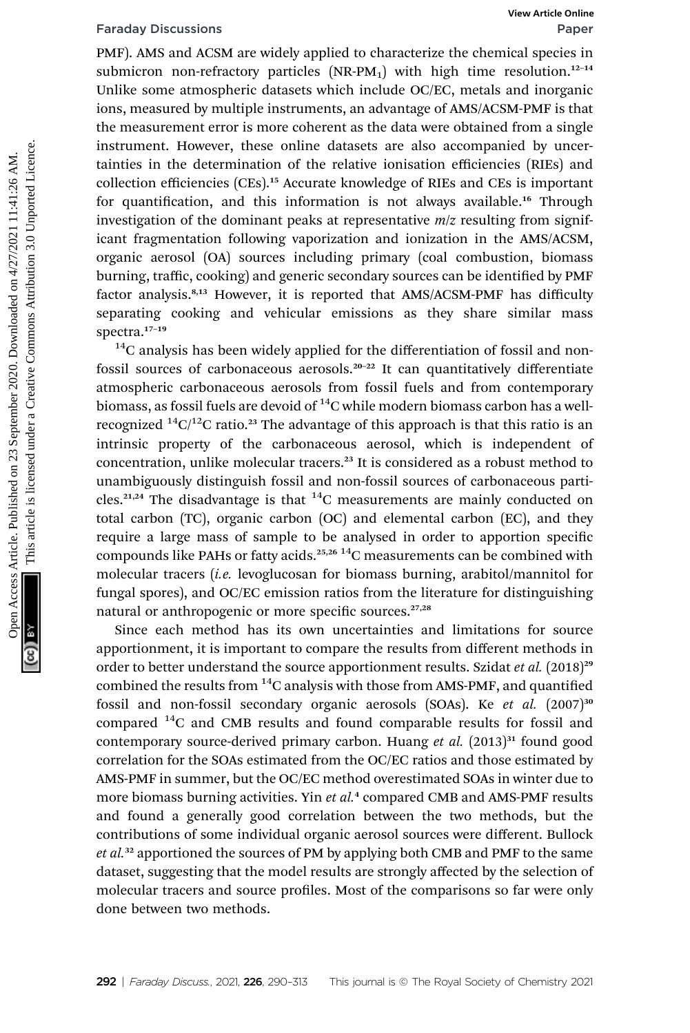PMF). AMS and ACSM are widely applied to characterize the chemical species in submicron non-refractory particles  $(NR-PM_1)$  with high time resolution.<sup>12-14</sup> Unlike some atmospheric datasets which include OC/EC, metals and inorganic ions, measured by multiple instruments, an advantage of AMS/ACSM-PMF is that the measurement error is more coherent as the data were obtained from a single instrument. However, these online datasets are also accompanied by uncertainties in the determination of the relative ionisation efficiencies (RIEs) and collection efficiencies (CEs).<sup>15</sup> Accurate knowledge of RIEs and CEs is important for quantification, and this information is not always available.<sup>16</sup> Through investigation of the dominant peaks at representative  $m/z$  resulting from significant fragmentation following vaporization and ionization in the AMS/ACSM, organic aerosol (OA) sources including primary (coal combustion, biomass burning, traffic, cooking) and generic secondary sources can be identified by PMF factor analysis.<sup>8,13</sup> However, it is reported that AMS/ACSM-PMF has difficulty separating cooking and vehicular emissions as they share similar mass spectra.<sup>17-19</sup> Faraday Discussions<br>
OPME). AMS are widely applied to characterize the chemical species<br>
Unlike some atmospheric datasets which include OC/EC, metals and inorganic<br>
ions, measured by multiple instruments, an advantage of

 $14C$  analysis has been widely applied for the differentiation of fossil and nonfossil sources of carbonaceous aerosols.<sup>20-22</sup> It can quantitatively differentiate atmospheric carbonaceous aerosols from fossil fuels and from contemporary biomass, as fossil fuels are devoid of  $^{14}$ C while modern biomass carbon has a wellrecognized  ${}^{14}C/{}^{12}C$  ratio.<sup>23</sup> The advantage of this approach is that this ratio is an intrinsic property of the carbonaceous aerosol, which is independent of concentration, unlike molecular tracers.<sup>23</sup> It is considered as a robust method to unambiguously distinguish fossil and non-fossil sources of carbonaceous particles.<sup>21,24</sup> The disadvantage is that  $^{14}$ C measurements are mainly conducted on total carbon (TC), organic carbon (OC) and elemental carbon (EC), and they require a large mass of sample to be analysed in order to apportion specific compounds like PAHs or fatty acids.<sup>25,26</sup> <sup>14</sup>C measurements can be combined with molecular tracers (i.e. levoglucosan for biomass burning, arabitol/mannitol for fungal spores), and OC/EC emission ratios from the literature for distinguishing natural or anthropogenic or more specific sources.<sup>27,28</sup>

Since each method has its own uncertainties and limitations for source apportionment, it is important to compare the results from different methods in order to better understand the source apportionment results. Szidat et al. (2018)<sup>29</sup> combined the results from  ${}^{14}$ C analysis with those from AMS-PMF, and quantified fossil and non-fossil secondary organic aerosols (SOAs). Ke et al. (2007)<sup>30</sup> compared  $^{14}$ C and CMB results and found comparable results for fossil and contemporary source-derived primary carbon. Huang et al.  $(2013)^{31}$  found good correlation for the SOAs estimated from the OC/EC ratios and those estimated by AMS-PMF in summer, but the OC/EC method overestimated SOAs in winter due to more biomass burning activities. Yin et al.<sup>4</sup> compared CMB and AMS-PMF results and found a generally good correlation between the two methods, but the contributions of some individual organic aerosol sources were different. Bullock et al.<sup>32</sup> apportioned the sources of PM by applying both CMB and PMF to the same dataset, suggesting that the model results are strongly affected by the selection of molecular tracers and source profiles. Most of the comparisons so far were only done between two methods.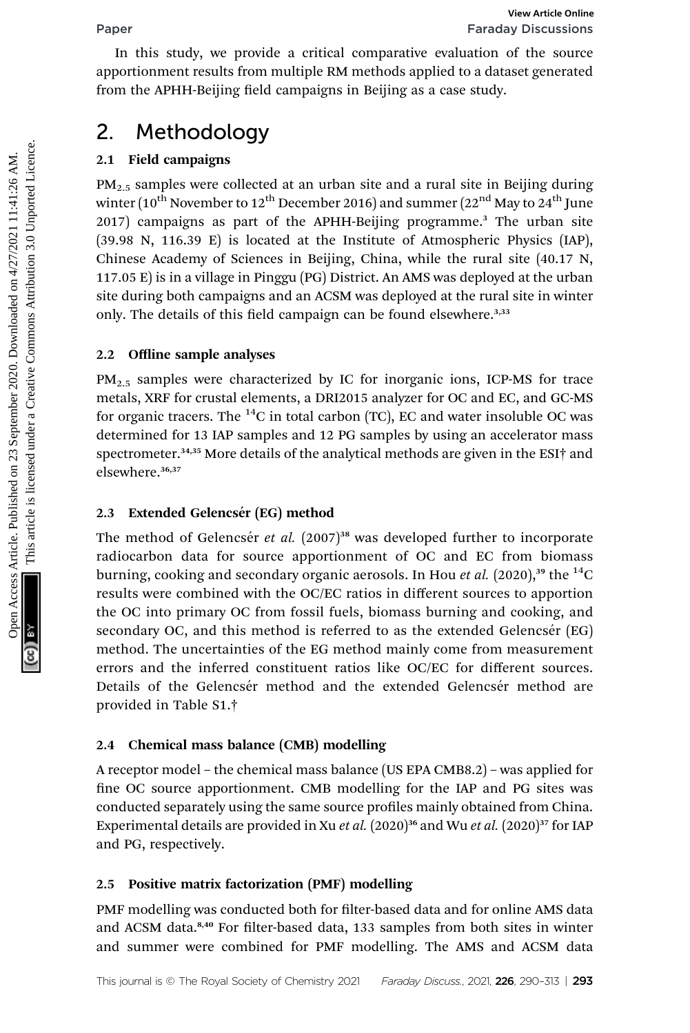In this study, we provide a critical comparative evaluation of the source apportionment results from multiple RM methods applied to a dataset generated from the APHH-Beijing field campaigns in Beijing as a case study.

# 2. Methodology

# 2.1 Field campaigns

 $PM<sub>2.5</sub>$  samples were collected at an urban site and a rural site in Beijing during winter ( $10^{th}$  November to  $12^{th}$  December 2016) and summer ( $22^{nd}$  May to  $24^{th}$  June 2017) campaigns as part of the APHH-Beijing programme.<sup>3</sup> The urban site (39.98 N, 116.39 E) is located at the Institute of Atmospheric Physics (IAP), Chinese Academy of Sciences in Beijing, China, while the rural site (40.17 N, 117.05 E) is in a village in Pinggu (PG) District. An AMS was deployed at the urban site during both campaigns and an ACSM was deployed at the rural site in winter only. The details of this field campaign can be found elsewhere.<sup>3,33</sup> Face Formula study, we provide a critical comparative cratical on the source<br>apportionment results from multiple RM methods applied to a dataset generated<br>from the APHH-Beijing field campaigns in Beijing as a case study.<br>

## 2.2 Offline sample analyses

 $PM_{2.5}$  samples were characterized by IC for inorganic ions, ICP-MS for trace metals, XRF for crustal elements, a DRI2015 analyzer for OC and EC, and GC-MS for organic tracers. The  ${}^{14}C$  in total carbon (TC), EC and water insoluble OC was determined for 13 IAP samples and 12 PG samples by using an accelerator mass spectrometer.<sup>34,35</sup> More details of the analytical methods are given in the ESI<sup>+</sup> and elsewhere.<sup>36,37</sup>

## 2.3 Extended Gelencsér (EG) method

The method of Gelencsér et al.  $(2007)^{38}$  was developed further to incorporate radiocarbon data for source apportionment of OC and EC from biomass burning, cooking and secondary organic aerosols. In Hou *et al.* (2020),<sup>39</sup> the <sup>14</sup>C results were combined with the OC/EC ratios in different sources to apportion the OC into primary OC from fossil fuels, biomass burning and cooking, and secondary OC, and this method is referred to as the extended Gelencsér  $[EG]$ method. The uncertainties of the EG method mainly come from measurement errors and the inferred constituent ratios like OC/EC for different sources. Details of the Gelencsér method and the extended Gelencsér method are provided in Table S1.†

## 2.4 Chemical mass balance (CMB) modelling

A receptor model – the chemical mass balance (US EPA CMB8.2) – was applied for fine OC source apportionment. CMB modelling for the IAP and PG sites was conducted separately using the same source profiles mainly obtained from China. Experimental details are provided in Xu et al.  $(2020)^{36}$  and Wu et al.  $(2020)^{37}$  for IAP and PG, respectively.

## 2.5 Positive matrix factorization (PMF) modelling

PMF modelling was conducted both for filter-based data and for online AMS data and ACSM data.<sup>8,40</sup> For filter-based data, 133 samples from both sites in winter and summer were combined for PMF modelling. The AMS and ACSM data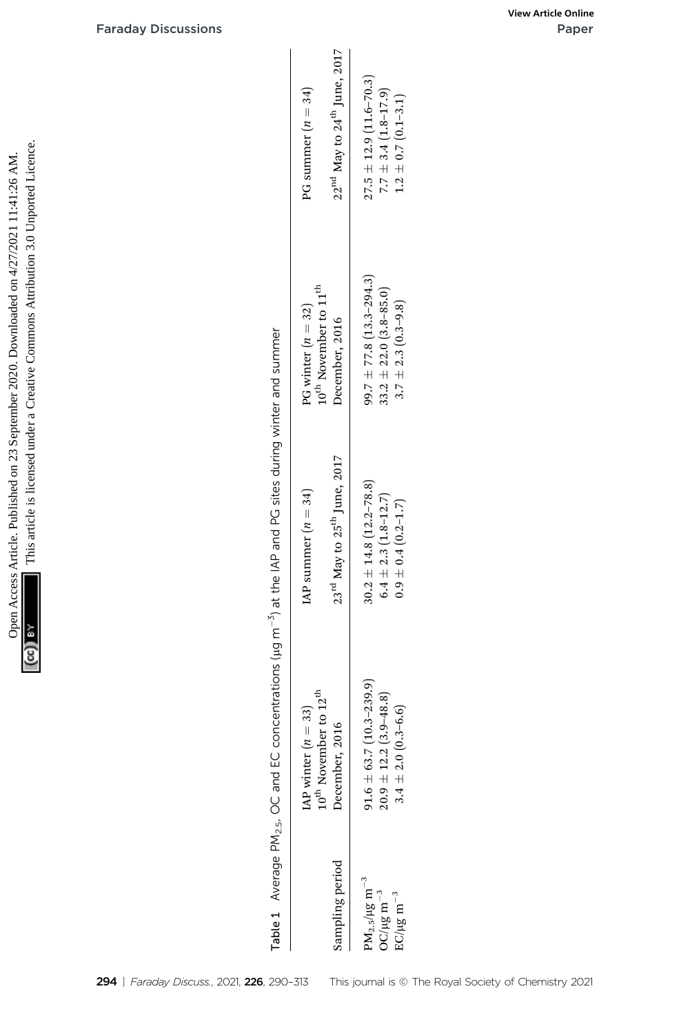

|                                                                                           | <b>Faraday Discussions</b> |                                                                                                                                   |                                                                                    |                                                                                                                                        | View Article Online<br>Paper |
|-------------------------------------------------------------------------------------------|----------------------------|-----------------------------------------------------------------------------------------------------------------------------------|------------------------------------------------------------------------------------|----------------------------------------------------------------------------------------------------------------------------------------|------------------------------|
|                                                                                           |                            |                                                                                                                                   | $22^{\rm nd}$ May to $24^{\rm th}$ June, $2017$<br>PG summer $(n = 34)$            | $27.5 \pm 12.9$ (11.6-70.3)<br>$7.7 \pm 3.4 (1.8 - 17.9)$<br>$1.2 \pm 0.7 (0.1 - 3.1)$                                                 |                              |
| This article is licensed under a Creative Commons Attribution 3.0 Unported Licence.       |                            |                                                                                                                                   | $10^{\rm th}$ November to $11^{\rm th}$<br>PG winter $(n = 32)$<br>December, 2016  | $99.7 \pm 77.8$ (13.3-294.3)<br>$33.2 \pm 22.0 \ (3.8\hbox{--}85.0) \\ 3.7 \pm 2.3 \ (0.3\hbox{--}9.8)$                                |                              |
| Open Access Article. Published on 23 September 2020. Downloaded on 4/27/2021 11:41:26 AM. |                            | Average PM <sub>2.5</sub> , OC and EC concentrations ( $\mu$ g m <sup>-3</sup> ) at the IAP and PG sites during winter and summer | 23 <sup>rd</sup> May to 25 <sup>th</sup> June, 2017<br>IAP summer $(n = 34)$       | $30.2 \pm 14.8$ $(12.2 - 78.8)$<br>$6.4 \pm 2.3 (1.8 - 12.7)$<br>$0.9 \pm 0.4~(0.2\text{--}1.7)$                                       |                              |
| ya (                                                                                      |                            |                                                                                                                                   | $10^{\rm th}$ November to $12^{\rm th}$<br>IAP winter $(n = 33)$<br>December, 2016 | $91.6 \pm 63.7 (10.3 - 239.9)$<br>$\begin{array}{c} 20.9 \pm 12.2 \ (3.9\text{--}48.8) \\ 3.4 \pm 2.0 \ (0.3\text{--}6.6) \end{array}$ |                              |
|                                                                                           |                            | Table 1                                                                                                                           | Sampling period                                                                    | $\rm PM_{2.5}/\mu g~m^{-3}$<br>${\rm O C/\mu g~m^{-3}}$<br>EC/µg m $^{-3}$                                                             |                              |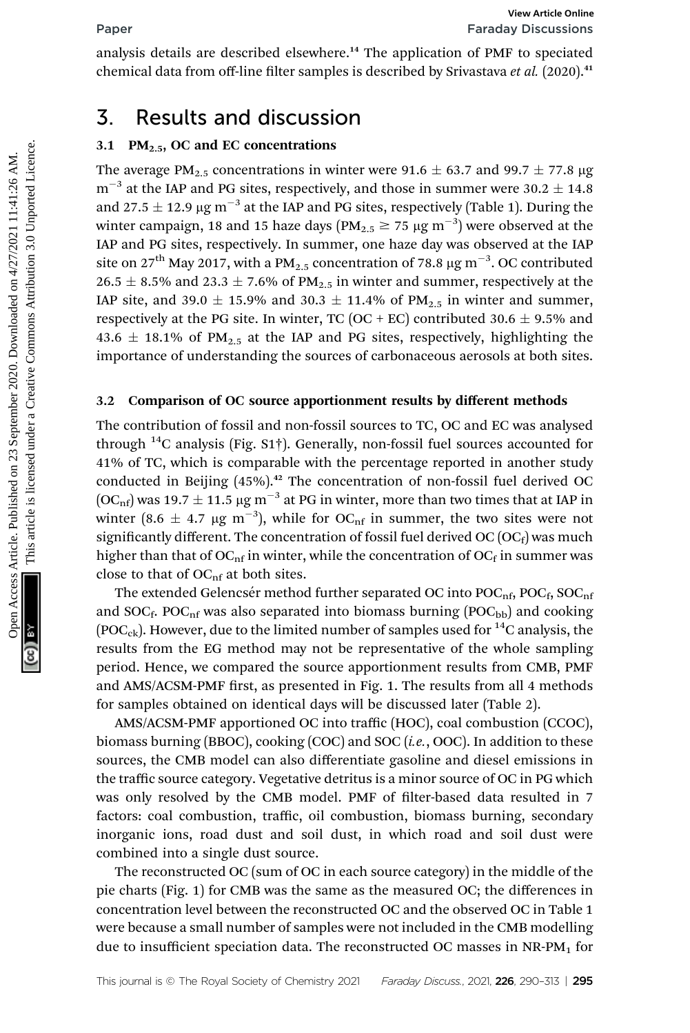analysis details are described elsewhere.<sup>14</sup> The application of PMF to speciated chemical data from off-line filter samples is described by Srivastava et al. (2020).<sup>41</sup>

# 3. Results and discussion

### 3.1 PM $_{2.5}$ , OC and EC concentrations

The average PM<sub>2.5</sub> concentrations in winter were 91.6  $\pm$  63.7 and 99.7  $\pm$  77.8 µg  $m^{-3}$  at the IAP and PG sites, respectively, and those in summer were 30.2  $\pm$  14.8 and 27.5  $\pm$  12.9 µg m<sup>-3</sup> at the IAP and PG sites, respectively (Table 1). During the winter campaign, 18 and 15 haze days ( $\text{PM}_{2.5} \ge 75 \, \mu\text{g m}^{-3}$ ) were observed at the IAP and PG sites, respectively. In summer, one haze day was observed at the IAP site on 27<sup>th</sup> May 2017, with a PM<sub>2.5</sub> concentration of 78.8  $\mu$ g m<sup>-3</sup>. OC contributed 26.5  $\pm$  8.5% and 23.3  $\pm$  7.6% of PM<sub>2.5</sub> in winter and summer, respectively at the IAP site, and 39.0  $\pm$  15.9% and 30.3  $\pm$  11.4% of PM<sub>2.5</sub> in winter and summer, respectively at the PG site. In winter, TC (OC + EC) contributed 30.6  $\pm$  9.5% and 43.6  $\pm$  18.1% of PM<sub>2.5</sub> at the IAP and PG sites, respectively, highlighting the importance of understanding the sources of carbonaceous aerosols at both sites. **Factal Starting are Factal Starting** Factal Schemes Article control of MM is operated chemical data from off-line filter samples is described by Srivastava *et al.* (2020).<sup>44</sup><br>
3. **Results and discussions**<br>
7.4 the MV a

### 3.2 Comparison of OC source apportionment results by different methods

The contribution of fossil and non-fossil sources to TC, OC and EC was analysed through  $^{14}$ C analysis (Fig. S1†). Generally, non-fossil fuel sources accounted for 41% of TC, which is comparable with the percentage reported in another study conducted in Beijing  $(45%)$ .<sup>42</sup> The concentration of non-fossil fuel derived OC  $(OC<sub>nf</sub>)$  was 19.7  $\pm$  11.5 µg m<sup>-3</sup> at PG in winter, more than two times that at IAP in winter (8.6  $\pm$  4.7  $\mu$ g m<sup>-3</sup>), while for OC<sub>nf</sub> in summer, the two sites were not significantly different. The concentration of fossil fuel derived OC  $(OC_f)$  was much higher than that of OC<sub>nf</sub> in winter, while the concentration of OC<sub>f</sub> in summer was close to that of  $OC<sub>nf</sub>$  at both sites.

The extended Gelencsér method further separated OC into  $POC<sub>nf</sub>$ ,  $POC<sub>f</sub>$ ,  $SOC<sub>nf</sub>$ and  $SOC_f$ . POC<sub>nf</sub> was also separated into biomass burning (POC<sub>bb</sub>) and cooking (POC<sub>ck</sub>). However, due to the limited number of samples used for <sup>14</sup>C analysis, the results from the EG method may not be representative of the whole sampling period. Hence, we compared the source apportionment results from CMB, PMF and AMS/ACSM-PMF first, as presented in Fig. 1. The results from all 4 methods for samples obtained on identical days will be discussed later (Table 2).

AMS/ACSM-PMF apportioned OC into traffic (HOC), coal combustion (CCOC), biomass burning (BBOC), cooking (COC) and SOC  $(i.e.,$  OOC). In addition to these sources, the CMB model can also differentiate gasoline and diesel emissions in the traffic source category. Vegetative detritus is a minor source of OC in PG which was only resolved by the CMB model. PMF of filter-based data resulted in 7 factors: coal combustion, traffic, oil combustion, biomass burning, secondary inorganic ions, road dust and soil dust, in which road and soil dust were combined into a single dust source.

The reconstructed OC (sum of OC in each source category) in the middle of the pie charts (Fig. 1) for CMB was the same as the measured OC; the differences in concentration level between the reconstructed OC and the observed OC in Table 1 were because a small number of samples were not included in the CMB modelling due to insufficient speciation data. The reconstructed OC masses in NR-PM<sub>1</sub> for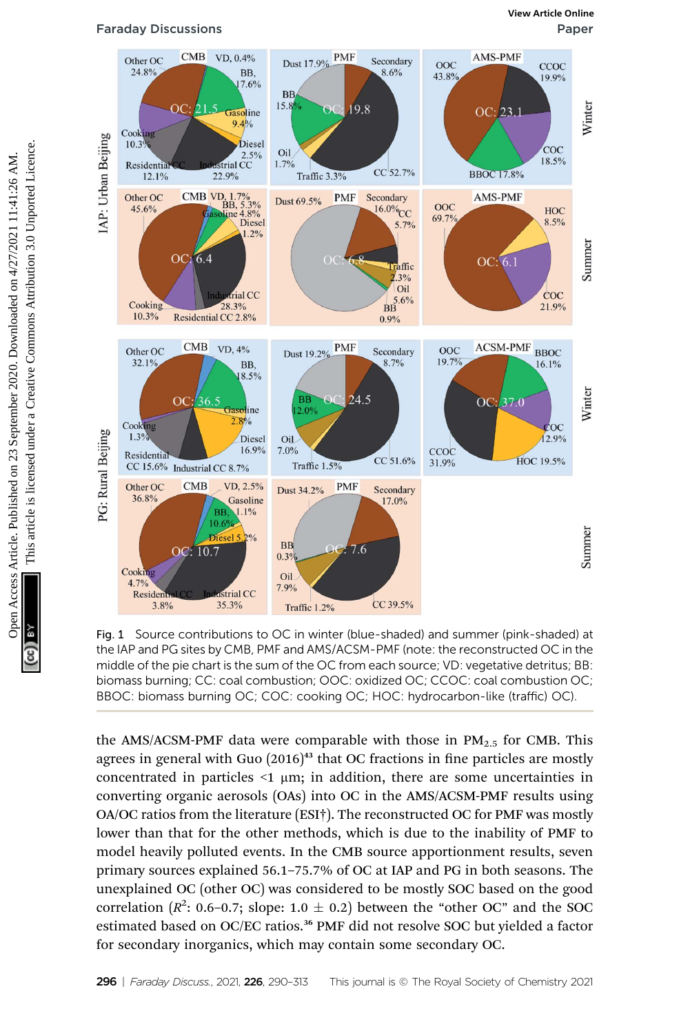

Fig. 1 Source contributions to OC in winter (blue-shaded) and summer (pink-shaded) at the IAP and PG sites by CMB, PMF and AMS/ACSM-PMF (note: the reconstructed OC in the middle of the pie chart is the sum of the OC from each source; VD: vegetative detritus; BB: biomass burning; CC: coal combustion; OOC: oxidized OC; CCOC: coal combustion OC; BBOC: biomass burning OC; COC: cooking OC; HOC: hydrocarbon-like (traffic) OC).

the AMS/ACSM-PMF data were comparable with those in  $PM_{2.5}$  for CMB. This agrees in general with Guo  $(2016)^{43}$  that OC fractions in fine particles are mostly concentrated in particles  $\leq 1 \mu m$ ; in addition, there are some uncertainties in converting organic aerosols (OAs) into OC in the AMS/ACSM-PMF results using OA/OC ratios from the literature (ESI†). The reconstructed OC for PMF was mostly lower than that for the other methods, which is due to the inability of PMF to model heavily polluted events. In the CMB source apportionment results, seven primary sources explained 56.1–75.7% of OC at IAP and PG in both seasons. The unexplained OC (other OC) was considered to be mostly SOC based on the good correlation ( $R^2$ : 0.6–0.7; slope: 1.0  $\pm$  0.2) between the "other OC" and the SOC estimated based on OC/EC ratios.<sup>36</sup> PMF did not resolve SOC but yielded a factor for secondary inorganics, which may contain some secondary OC.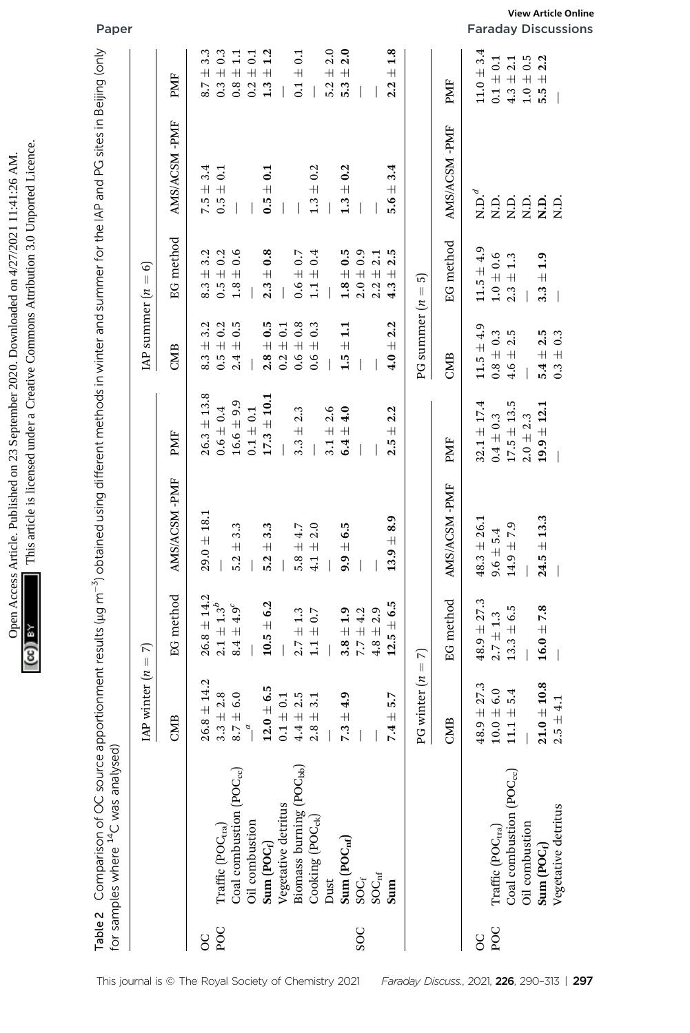|                | Table 2 $\,$ Comparison of OC source apportionment results (µg m $^{-3}$ obtained using different methods in winter and summer for the IAP and PG sites in Beijing (only<br>for samples where <sup>14</sup> C was analysed) |                    |                                    |                               |                              |                                       |                                            |                              |                                        | Paper                                             |
|----------------|-----------------------------------------------------------------------------------------------------------------------------------------------------------------------------------------------------------------------------|--------------------|------------------------------------|-------------------------------|------------------------------|---------------------------------------|--------------------------------------------|------------------------------|----------------------------------------|---------------------------------------------------|
|                |                                                                                                                                                                                                                             | IAP winter $(n =$  | π                                  |                               |                              | IAP summer $(n =$                     | ତ                                          |                              |                                        |                                                   |
|                |                                                                                                                                                                                                                             | CMB                | EG method                          | AMS/ACSM-PMF                  | PMF                          | CMB                                   | method<br><u>មួ</u>                        | AMS/ACSM-PMF                 | PMF                                    |                                                   |
| $\rm ^{\circ}$ |                                                                                                                                                                                                                             | $26.8 \pm 14.2$    | $26.8 \pm 14.2$                    | $29.0 + 18.1$                 | $26.3 \pm 13.8$              | 3.2<br>$\!+\!$<br>8.3                 | 3.2<br>$8.3 \pm$                           | 3.4<br>$7.5 \pm$             | 3.3<br>$\overline{+}$<br>8.7           |                                                   |
| POC            | $\mathrm{Traffic}\left(\mathrm{POC}_\mathrm{tra}\right)$                                                                                                                                                                    | 2.8<br>$3.3 \pm$   | $2.1 \pm 1.3^{b}$                  |                               | $0.6 \pm 0.4$                | $\pm$ 0.2<br>$\ddot{0}$               | $0.5 + 0.2$                                | $0.5 \pm 0.1$                | $0.3 \pm 0.3$                          |                                                   |
|                | Coal combustion (POC <sub>cc</sub> )                                                                                                                                                                                        | 6.0<br>8.7 $\pm$   | $8.4\pm4.9^{\rm c}$                | 3.3<br>$\overline{+}$<br>5.2  | $16.6 \pm 9.9$               | 0.5<br>$\overline{+}$<br>2.4          | 0.6<br>$1.8 \pm$                           |                              | $0.8 \pm 1.1$                          |                                                   |
|                | Oil combustion                                                                                                                                                                                                              | $\overline{a}$     |                                    |                               | $0.1 \pm 0.1$                |                                       |                                            |                              | 0.1<br>$0.2 \pm 0$                     |                                                   |
|                | Sum $(POC_f)$                                                                                                                                                                                                               | $12.0 \pm 6.5$     | $10.5 \pm 6.2$                     | 3.3<br>$\overline{+}$<br>5.2  | $17.3 \pm 10.1$              | $2.8 \pm 0.5$                         | 0.8<br>$\overline{+}$<br>2.3               | $\mathbf{c}$<br>$0.5 +$      | 1.2<br>$\overline{+}$<br>1.3           |                                                   |
|                | Vegetative detritus                                                                                                                                                                                                         | 0.1<br>$0.1 +$     |                                    |                               |                              | $\pm$ 0.1<br>0.2                      |                                            |                              |                                        |                                                   |
|                | Biomass burning (POC <sub>bb</sub> )                                                                                                                                                                                        | 2.5<br>$4.4~\pm$   | $2.7 \pm 1.3$                      | 5.8 $\pm$ 4.7                 | 2.3<br>$\overline{+}$<br>3.3 | $0.6 \pm 0.8$                         | $0.6 \pm 0.7$                              |                              | 0.1<br>$\overline{+}$<br>0.1           |                                                   |
|                | Cooking $(\text{POC}_{\text{ck}})$                                                                                                                                                                                          | 3.1<br>$2.8 \pm$   | $1.1 \pm 0.7$                      | 2.0<br>$\overline{+}$<br>4.1  |                              | 0.3<br>$\overline{+}$<br>0.6          | $1.1 \pm 0.4$                              | $1.3 \pm 0.2$                |                                        |                                                   |
|                | Dust                                                                                                                                                                                                                        |                    |                                    |                               | $3.1 \pm 2.6$                |                                       |                                            |                              | 2.0<br>$5.2 \pm$                       |                                                   |
|                | Sum $(\text{POC}_{\text{nf}})$                                                                                                                                                                                              | 4.9<br>7.3 $\pm$   | $3.8 \pm 1.9$                      | $\pm 6.5$<br>9.9              | $6.4\pm4.0$                  | $\mathbf{1}$<br>$\overline{+}$<br>1.5 | $1.8 \pm 0.5$                              | $1.3 \pm 0.2$                | 2.0<br>$5.3 \pm$                       |                                                   |
| SOC            | $SOC_f$                                                                                                                                                                                                                     |                    | $7.7 \pm 4.2$                      |                               |                              |                                       | $2.0 \pm 0.9$                              |                              |                                        |                                                   |
|                | $\mathrm{SOC}_{\mathrm{nf}}$                                                                                                                                                                                                |                    | $4.8 \pm 2.9$                      |                               |                              |                                       | $2.2 \pm 2.1$                              |                              |                                        |                                                   |
|                | Sum                                                                                                                                                                                                                         | 5.7<br>7.4 $\pm$   | $\pm 6.5$<br>ię.<br>$\mathbf{12.}$ | 8.9<br>$\overline{+}$<br>13.9 | 2.2<br>$\overline{+}$<br>2.5 | 2.2<br>$\overline{+}$<br>4.0          | 2.5<br>$\overline{+}$<br>4.3               | 3.4<br>$\overline{+}$<br>5.6 | 1.8<br>$\overline{+}$<br>2.2           |                                                   |
|                |                                                                                                                                                                                                                             | PG winter $(n)$    | π<br>$\, \parallel$                |                               |                              | PG summer                             | <u>ი</u><br>$\lvert \rvert$<br>$\tilde{u}$ |                              |                                        |                                                   |
|                |                                                                                                                                                                                                                             | CMB                | EG method                          | AMS/ACSM-PMF                  | PMF                          | CMB                                   | EG method                                  | AMS/ACSM-PMF                 | PMF                                    |                                                   |
| 8              |                                                                                                                                                                                                                             | 27.3<br>$48.9 \pm$ | $48.9 \pm 27.3$                    | $48.3 \pm 26.1$               | $32.1 \pm 17.4$              | $11.5 \pm 4.9$                        | $11.5 \pm 4.9$                             | $\mathbf{N}.\mathbf{D}.^d$   | $11.0 \pm 3.4$                         |                                                   |
| POC            | Traffic (POC <sub>tra</sub> )                                                                                                                                                                                               | 6.0<br>$10.0 \pm$  | $2.7 \pm 1.3$                      | $9.6 \pm 5.4$                 | $0.4 \pm 0.3$                | $0.8\pm0.3$                           | $1.0 \pm 0.6$                              | i<br>Ri                      | $0.1 \pm 0.1$                          |                                                   |
|                | Coal combustion (POC <sub>cc</sub> )                                                                                                                                                                                        | 5.4<br>$11.1\pm$   | $13.3 \pm 6.5$                     | $14.9 \pm 7.9$                | $17.5 \pm 13.5$              | 2.5<br>$4.6 \pm$                      | $2.3\,\pm\,1.3$                            | Ξ.                           | 2.1<br>$4.3\ \pm$                      |                                                   |
|                | Oil combustion                                                                                                                                                                                                              |                    |                                    |                               | $2.0 \pm 2.3$                |                                       |                                            | i<br>Ri                      | 0.5<br>$1.0 \pm$                       |                                                   |
|                | Sum (POC <sub>f</sub> )                                                                                                                                                                                                     | $21.0 \pm 10.8$    | $16.0 \pm 7.8$                     | $24.5 \pm 13.3$               | $19.9 \pm 12.1$              | $5.4 \pm 2.5$                         | $3.3 \pm 1.9$                              | $\overline{a}$               | 2.2<br>$\overline{+}$<br>$\frac{1}{5}$ |                                                   |
|                | Vegetative detritus                                                                                                                                                                                                         | 4.1<br>$2.5 \pm$   |                                    |                               |                              | $0.3 \pm 0.3$                         |                                            | Ο.<br>Σ                      |                                        |                                                   |
|                |                                                                                                                                                                                                                             |                    |                                    |                               |                              |                                       |                                            |                              |                                        | View Article Online<br><b>Faraday Discussions</b> |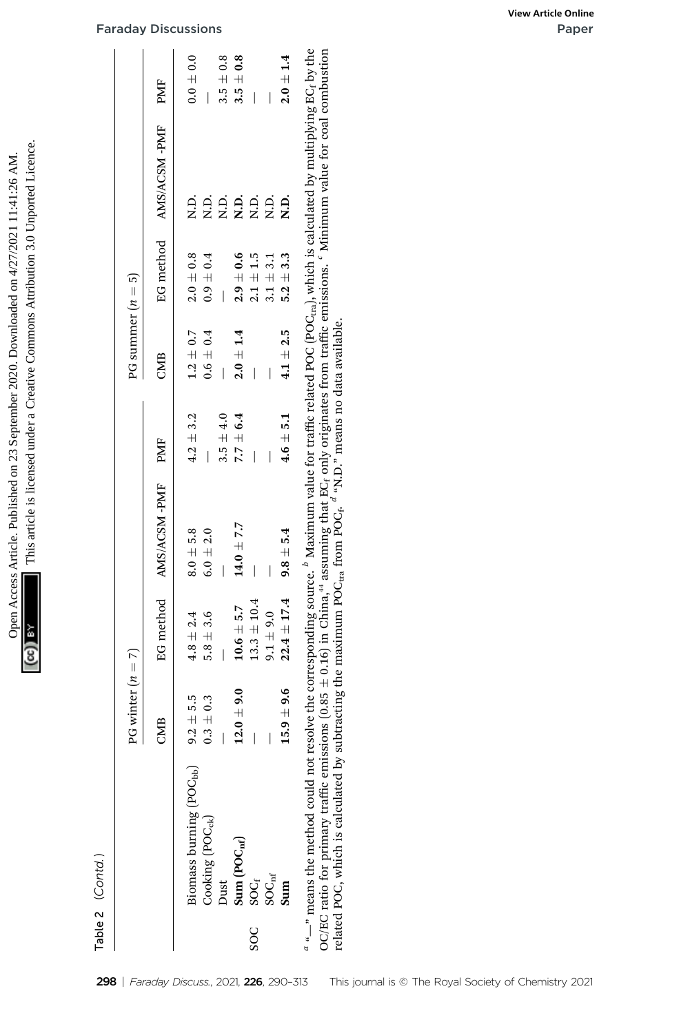| Open Access Article. Published on 23 September 2020. Downloaded on 4/27/2021 11:41:26 | d under a Creative Commons Attribution 3<br>ins article is license? |
|---------------------------------------------------------------------------------------|---------------------------------------------------------------------|
|                                                                                       |                                                                     |
|                                                                                       |                                                                     |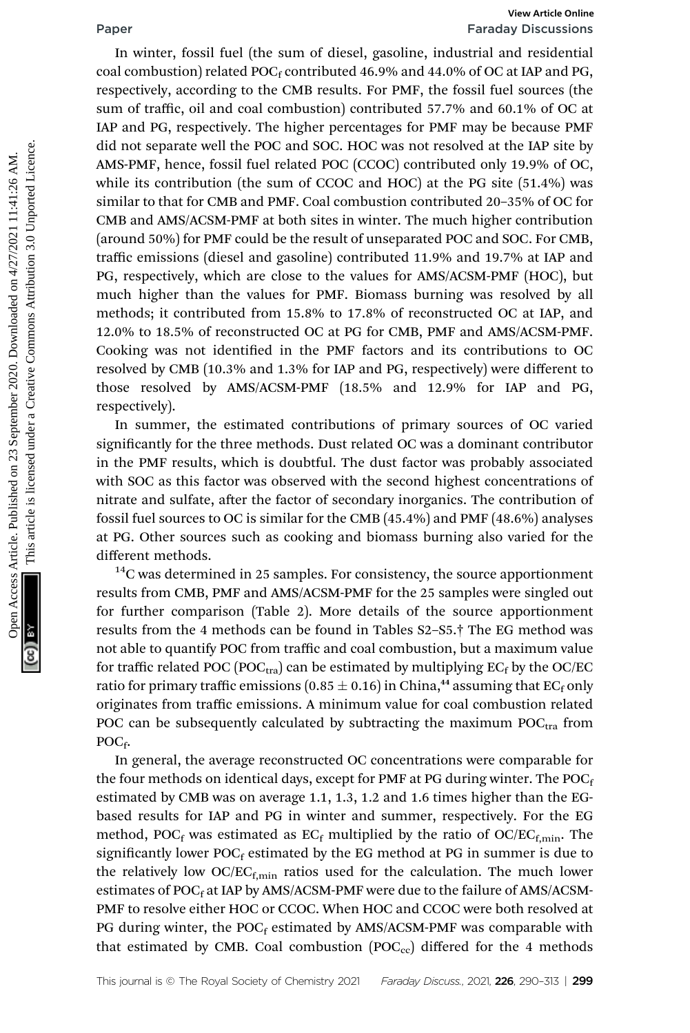# Paper Faraday Discussions

In winter, fossil fuel (the sum of diesel, gasoline, industrial and residential coal combustion) related POC<sub>f</sub> contributed 46.9% and 44.0% of OC at IAP and PG, respectively, according to the CMB results. For PMF, the fossil fuel sources (the sum of traffic, oil and coal combustion) contributed 57.7% and 60.1% of OC at IAP and PG, respectively. The higher percentages for PMF may be because PMF did not separate well the POC and SOC. HOC was not resolved at the IAP site by AMS-PMF, hence, fossil fuel related POC (CCOC) contributed only 19.9% of OC, while its contribution (the sum of CCOC and HOC) at the PG site (51.4%) was similar to that for CMB and PMF. Coal combustion contributed 20–35% of OC for CMB and AMS/ACSM-PMF at both sites in winter. The much higher contribution (around 50%) for PMF could be the result of unseparated POC and SOC. For CMB, traffic emissions (diesel and gasoline) contributed 11.9% and 19.7% at IAP and PG, respectively, which are close to the values for AMS/ACSM-PMF (HOC), but much higher than the values for PMF. Biomass burning was resolved by all methods; it contributed from 15.8% to 17.8% of reconstructed OC at IAP, and 12.0% to 18.5% of reconstructed OC at PG for CMB, PMF and AMS/ACSM-PMF. Cooking was not identified in the PMF factors and its contributions to OC resolved by CMB (10.3% and 1.3% for IAP and PG, respectively) were different to those resolved by AMS/ACSM-PMF (18.5% and 12.9% for IAP and PG, respectively). **Franch (Figure 1988)**<br>
The value of CMB results. For PMF, the fossil fuel sources (the sum of turfine, oil and continuously concernent and residential and residential<br>
120 AM and PG, respectively. The higher percentages f

In summer, the estimated contributions of primary sources of OC varied significantly for the three methods. Dust related OC was a dominant contributor in the PMF results, which is doubtful. The dust factor was probably associated with SOC as this factor was observed with the second highest concentrations of nitrate and sulfate, after the factor of secondary inorganics. The contribution of fossil fuel sources to OC is similar for the CMB (45.4%) and PMF (48.6%) analyses at PG. Other sources such as cooking and biomass burning also varied for the different methods.

 $14$ C was determined in 25 samples. For consistency, the source apportionment results from CMB, PMF and AMS/ACSM-PMF for the 25 samples were singled out for further comparison (Table 2). More details of the source apportionment results from the 4 methods can be found in Tables S2–S5.† The EG method was not able to quantify POC from traffic and coal combustion, but a maximum value for traffic related POC (POC<sub>tra</sub>) can be estimated by multiplying  $EC_f$  by the OC/EC ratio for primary traffic emissions (0.85  $\pm$  0.16) in China,<sup>44</sup> assuming that EC<sub>f</sub> only originates from traffic emissions. A minimum value for coal combustion related POC can be subsequently calculated by subtracting the maximum  $POC<sub>tra</sub>$  from POC<sub>f</sub>.

In general, the average reconstructed OC concentrations were comparable for the four methods on identical days, except for PMF at PG during winter. The  $POC<sub>f</sub>$ estimated by CMB was on average 1.1, 1.3, 1.2 and 1.6 times higher than the EGbased results for IAP and PG in winter and summer, respectively. For the EG method, POC<sub>f</sub> was estimated as  $EC_f$  multiplied by the ratio of OC/EC<sub>f,min</sub>. The significantly lower  $POC_f$  estimated by the EG method at PG in summer is due to the relatively low  $OC/EC_{f,min}$  ratios used for the calculation. The much lower estimates of POC $_f$  at IAP by AMS/ACSM-PMF were due to the failure of AMS/ACSM-PMF to resolve either HOC or CCOC. When HOC and CCOC were both resolved at PG during winter, the  $POC_f$  estimated by  $AMS/ACSM-PMF$  was comparable with that estimated by CMB. Coal combustion  $(POC_{cc})$  differed for the 4 methods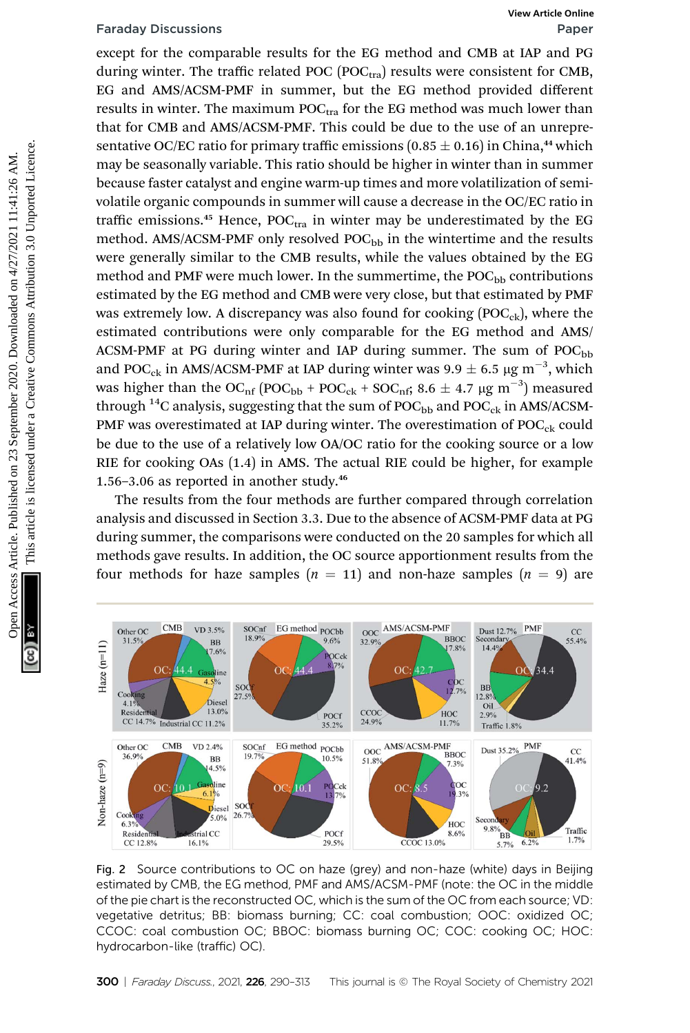except for the comparable results for the EG method and CMB at IAP and PG during winter. The traffic related POC (POC $_{\text{tra}}$ ) results were consistent for CMB, EG and AMS/ACSM-PMF in summer, but the EG method provided different results in winter. The maximum  $POC_{tra}$  for the EG method was much lower than that for CMB and AMS/ACSM-PMF. This could be due to the use of an unrepresentative OC/EC ratio for primary traffic emissions  $(0.85 \pm 0.16)$  in China,<sup>44</sup> which may be seasonally variable. This ratio should be higher in winter than in summer because faster catalyst and engine warm-up times and more volatilization of semivolatile organic compounds in summer will cause a decrease in the OC/EC ratio in traffic emissions.<sup>45</sup> Hence,  $POC<sub>tra</sub>$  in winter may be underestimated by the EG method. AMS/ACSM-PMF only resolved  $POC<sub>bb</sub>$  in the wintertime and the results were generally similar to the CMB results, while the values obtained by the EG method and PMF were much lower. In the summertime, the  $POC<sub>bb</sub>$  contributions estimated by the EG method and CMB were very close, but that estimated by PMF was extremely low. A discrepancy was also found for cooking  $(POC_{ck})$ , where the estimated contributions were only comparable for the EG method and AMS/ ACSM-PMF at PG during winter and IAP during summer. The sum of  $POC<sub>bb</sub>$ and POC<sub>ck</sub> in AMS/ACSM-PMF at IAP during winter was 9.9  $\pm$  6.5 µg m<sup>-3</sup>, which was higher than the OC<sub>nf</sub> (POC<sub>bb</sub> + POC<sub>ck</sub> + SOC<sub>nf</sub>; 8.6  $\pm$  4.7 µg m<sup>-3</sup>) measured through  $^{14}$ C analysis, suggesting that the sum of POC $_{\rm bb}$  and POC $_{\rm ck}$  in AMS/ACSM-PMF was overestimated at IAP during winter. The overestimation of  $POC<sub>ck</sub>$  could be due to the use of a relatively low OA/OC ratio for the cooking source or a low RIE for cooking OAs (1.4) in AMS. The actual RIE could be higher, for example 1.56-3.06 as reported in another study.<sup>46</sup> Faraday Discussions Wew Articles<br>
orget for the comparable results for the EG method and CMR article and the<br>
EG and AMS/ACSM-PMF in summer, but the EG method provided different<br>
results in white . The maximum POC<sub>ces</sub> fo

The results from the four methods are further compared through correlation analysis and discussed in Section 3.3. Due to the absence of ACSM-PMF data at PG during summer, the comparisons were conducted on the 20 samples for which all methods gave results. In addition, the OC source apportionment results from the four methods for haze samples  $(n = 11)$  and non-haze samples  $(n = 9)$  are



Fig. 2 Source contributions to OC on haze (grey) and non-haze (white) days in Beijing estimated by CMB, the EG method, PMF and AMS/ACSM-PMF (note: the OC in the middle of the pie chart is the reconstructed OC, which is the sum of the OC from each source; VD: vegetative detritus; BB: biomass burning; CC: coal combustion; OOC: oxidized OC; CCOC: coal combustion OC; BBOC: biomass burning OC; COC: cooking OC; HOC: hydrocarbon-like (traffic) OC).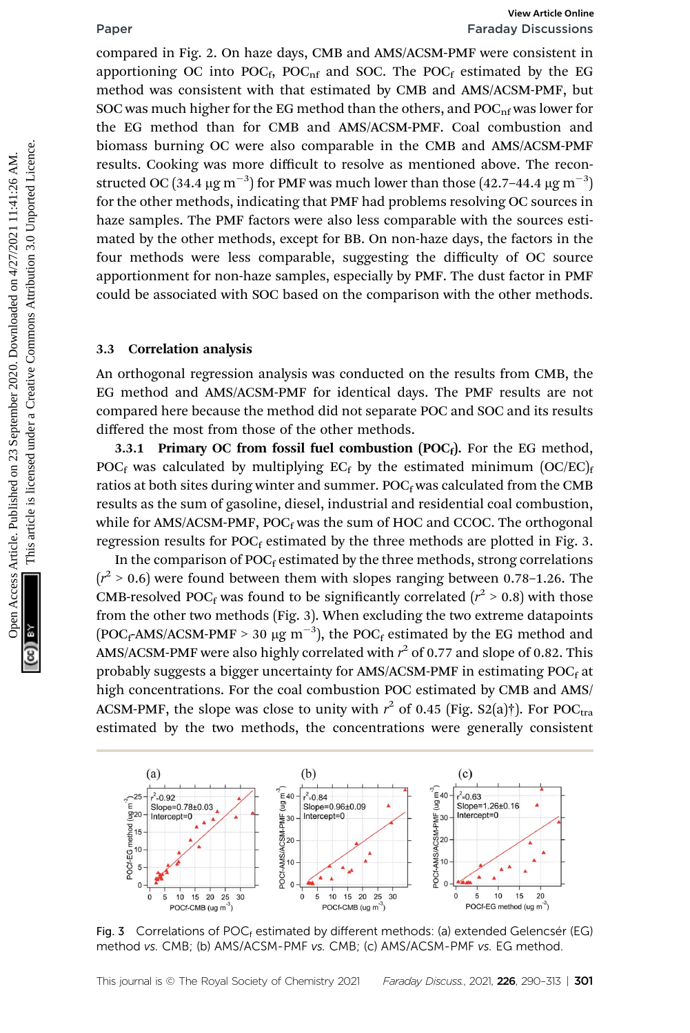compared in Fig. 2. On haze days, CMB and AMS/ACSM-PMF were consistent in apportioning OC into  $POC_f$ ,  $POC_{nf}$  and SOC. The  $POC_f$  estimated by the EG method was consistent with that estimated by CMB and AMS/ACSM-PMF, but SOC was much higher for the EG method than the others, and  $POC_{\text{nf}}$  was lower for the EG method than for CMB and AMS/ACSM-PMF. Coal combustion and biomass burning OC were also comparable in the CMB and AMS/ACSM-PMF results. Cooking was more difficult to resolve as mentioned above. The reconstructed OC (34.4  $\mu$ g m $^{-3})$  for PMF was much lower than those (42.7–44.4  $\mu$ g m $^{-3})$ for the other methods, indicating that PMF had problems resolving OC sources in haze samples. The PMF factors were also less comparable with the sources estimated by the other methods, except for BB. On non-haze days, the factors in the four methods were less comparable, suggesting the difficulty of OC source apportionment for non-haze samples, especially by PMF. The dust factor in PMF could be associated with SOC based on the comparison with the other methods. Figure 11. Fig. 2. On baze days, CMB and AMS/ACSM-PMF vere consistent in apportioning OC into POC<sub>G</sub>, PVC<sub>G</sub>, and SOC. The POC<sub>C</sub> estimated by the EX method was consistent with that estimated by CMB and AMS/ACSM-PMF, but S

### 3.3 Correlation analysis

An orthogonal regression analysis was conducted on the results from CMB, the EG method and AMS/ACSM-PMF for identical days. The PMF results are not compared here because the method did not separate POC and SOC and its results differed the most from those of the other methods.

3.3.1 Primary OC from fossil fuel combustion  $(POC<sub>f</sub>)$ . For the EG method, POC<sub>f</sub> was calculated by multiplying EC<sub>f</sub> by the estimated minimum  $[OC/EC]$ <sub>f</sub> ratios at both sites during winter and summer.  $POC<sub>f</sub>$  was calculated from the CMB results as the sum of gasoline, diesel, industrial and residential coal combustion, while for AMS/ACSM-PMF,  $POC_f$  was the sum of HOC and CCOC. The orthogonal regression results for  $POC<sub>f</sub>$  estimated by the three methods are plotted in Fig. 3.

In the comparison of  $POC_f$  estimated by the three methods, strong correlations  $(r^2 > 0.6)$  were found between them with slopes ranging between 0.78-1.26. The CMB-resolved POC<sub>f</sub> was found to be significantly correlated ( $r^2 > 0.8$ ) with those from the other two methods (Fig. 3). When excluding the two extreme datapoints  $(POC_fAMS/ACSM-PMF > 30 \mu g m^{-3})$ , the  $POC_f$  estimated by the EG method and AMS/ACSM-PMF were also highly correlated with  $r^2$  of 0.77 and slope of 0.82. This probably suggests a bigger uncertainty for AMS/ACSM-PMF in estimating POCf at high concentrations. For the coal combustion POC estimated by CMB and AMS/ ACSM-PMF, the slope was close to unity with  $r^2$  of 0.45 (Fig. S2(a)†). For POC<sub>tra</sub><br>estimated by the two methods, the concentrations were generally consistent estimated by the two methods, the concentrations were generally consistent



Fig. 3 Correlations of POC<sub>f</sub> estimated by different methods: (a) extended Gelencsér (EG) method vs. CMB; (b) AMS/ACSM-PMF vs. CMB; (c) AMS/ACSM-PMF vs. EG method.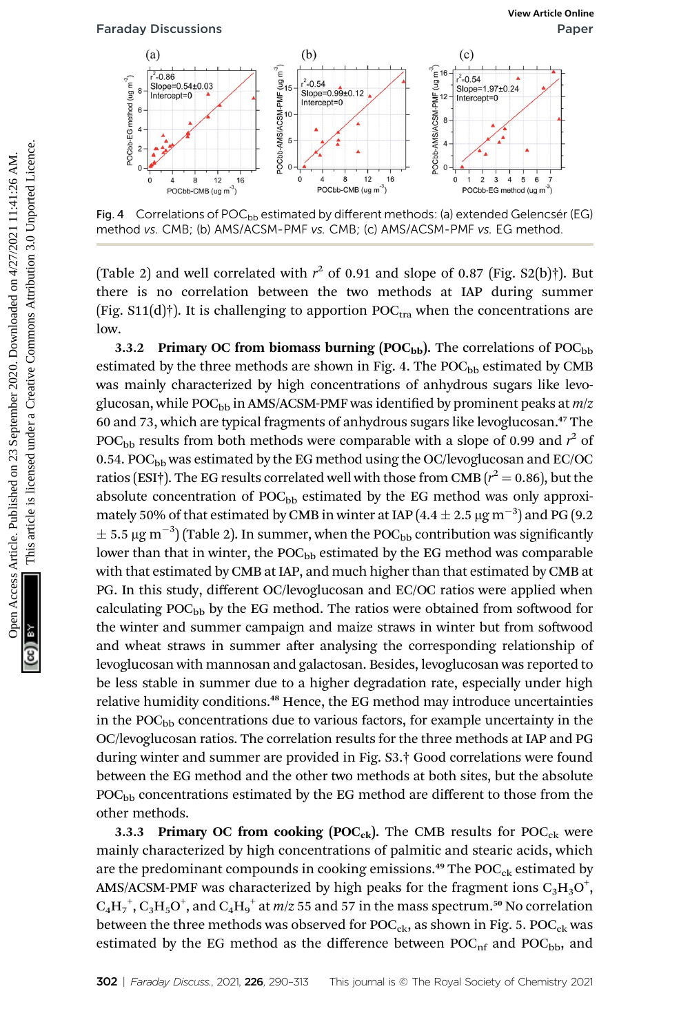

Fig. 4  $\,$  Correlations of POC<sub>bb</sub> estimated by different methods: (a) extended Gelencsér (EG) method vs. CMB; (b) AMS/ACSM-PMF vs. CMB; (c) AMS/ACSM-PMF vs. EG method.

(Table 2) and well correlated with  $r^2$  of 0.91 and slope of 0.87 (Fig. S2(b)†). But there is no correlation between the two methods at LAB during summer there is no correlation between the two methods at IAP during summer (Fig.  $S11(d)$ )<sup>†</sup>). It is challenging to apportion POC<sub>tra</sub> when the concentrations are low.

3.3.2 Primary OC from biomass burning (POC<sub>bb</sub>). The correlations of POC<sub>bb</sub> estimated by the three methods are shown in Fig. 4. The  $POC_{bb}$  estimated by CMB was mainly characterized by high concentrations of anhydrous sugars like levoglucosan, while POC<sub>bb</sub> in AMS/ACSM-PMF was identified by prominent peaks at  $m/z$ 60 and 73, which are typical fragments of anhydrous sugars like levoglucosan.<sup>47</sup> The POC<sub>bb</sub> results from both methods were comparable with a slope of 0.99 and  $r^2$  of 0.54. POC<sub>bb</sub> was estimated by the EG method using the OC/levoglucosan and EC/OC ratios (ESI†). The EG results correlated well with those from CMB  $(r^2 = 0.86)$ , but the<br>absolute concentration of POC + estimated by the EG method was only approviabsolute concentration of  $POC_{bb}$  estimated by the EG method was only approximately 50% of that estimated by CMB in winter at IAP (4.4  $\pm$  2.5 µg m<sup>-3</sup>) and PG (9.2  $\pm$  5.5  $\mu$ g m<sup>-3</sup>) (Table 2). In summer, when the POC<sub>bb</sub> contribution was significantly lower than that in winter, the POC<sub>bb</sub> estimated by the EG method was comparable with that estimated by CMB at IAP, and much higher than that estimated by CMB at PG. In this study, different OC/levoglucosan and EC/OC ratios were applied when calculating  $POC<sub>bb</sub>$  by the EG method. The ratios were obtained from softwood for the winter and summer campaign and maize straws in winter but from softwood and wheat straws in summer after analysing the corresponding relationship of levoglucosan with mannosan and galactosan. Besides, levoglucosan was reported to be less stable in summer due to a higher degradation rate, especially under high relative humidity conditions.<sup>48</sup> Hence, the EG method may introduce uncertainties in the  $POC<sub>bb</sub>$  concentrations due to various factors, for example uncertainty in the OC/levoglucosan ratios. The correlation results for the three methods at IAP and PG during winter and summer are provided in Fig. S3.† Good correlations were found between the EG method and the other two methods at both sites, but the absolute POC<sub>bb</sub> concentrations estimated by the EG method are different to those from the other methods. Fartiday Discussions<br>
(a)<br>  $\frac{1}{2}$ <br>  $\frac{1}{2}$ <br>  $\frac{1}{2}$ <br>  $\frac{1}{2}$ <br>  $\frac{1}{2}$ <br>  $\frac{1}{2}$ <br>  $\frac{1}{2}$ <br>  $\frac{1}{2}$ <br>  $\frac{1}{2}$ <br>  $\frac{1}{2}$ <br>  $\frac{1}{2}$ <br>  $\frac{1}{2}$ <br>  $\frac{1}{2}$ <br>  $\frac{1}{2}$ <br>  $\frac{1}{2}$ <br>  $\frac{1}{2}$ <br>  $\frac{1}{2}$ <br>  $\frac{1}{2$ 

> 3.3.3 Primary OC from cooking  ${POC}_{ck}$ ). The CMB results for  ${POC}_{ck}$  were mainly characterized by high concentrations of palmitic and stearic acids, which are the predominant compounds in cooking emissions.<sup>49</sup> The  $POC_{ck}$  estimated by AMS/ACSM-PMF was characterized by high peaks for the fragment ions  $\rm{C_3H_3O}^+$  $\rm{C_4H_7}^+, C_3H_5O^+,$  and  $\rm{C_4H_9}^+$  at  $m/z$  55 and 57 in the mass spectrum.<sup>50</sup> No correlation between the three methods was observed for  $POC_{ck}$ , as shown in Fig. 5.  $POC_{ck}$  was estimated by the EG method as the difference between  $POC<sub>nf</sub>$  and  $POC<sub>bb</sub>$ , and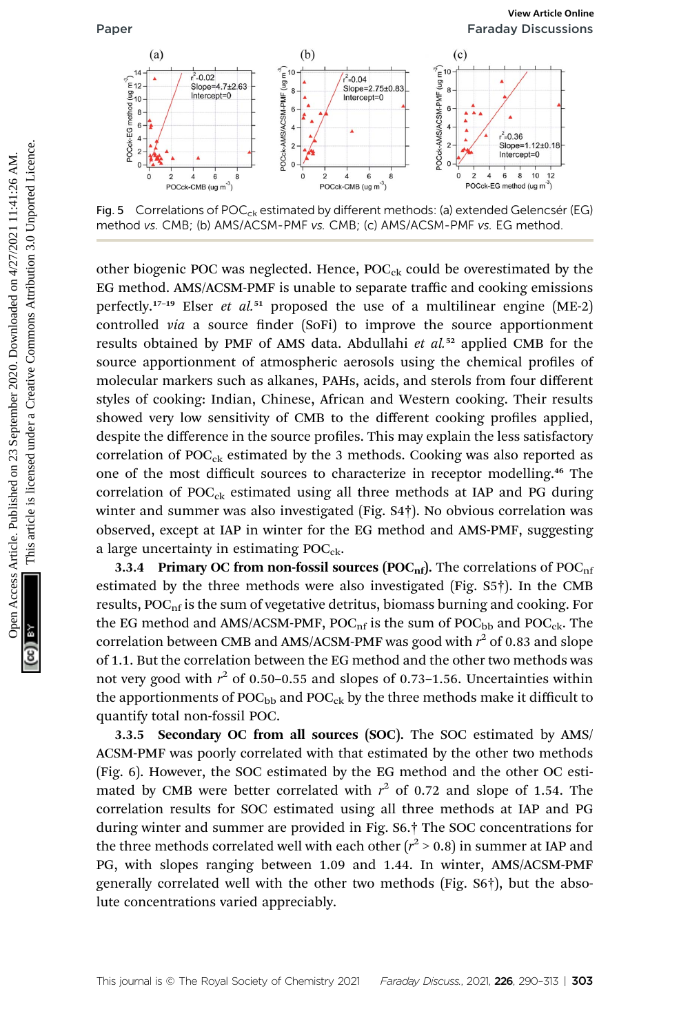

Fig. 5  $\degree$  Correlations of POC<sub>ck</sub> estimated by different methods: (a) extended Gelencsér (EG) method vs. CMB; (b) AMS/ACSM-PMF vs. CMB; (c) AMS/ACSM-PMF vs. EG method.

other biogenic POC was neglected. Hence,  $POC_{ck}$  could be overestimated by the EG method. AMS/ACSM-PMF is unable to separate traffic and cooking emissions perfectly.<sup>17–19</sup> Elser *et al.*<sup>51</sup> proposed the use of a multilinear engine (ME-2) controlled *via* a source finder (SoFi) to improve the source apportionment results obtained by PMF of AMS data. Abdullahi *et al.*<sup>52</sup> applied CMB for the source apportionment of atmospheric aerosols using the chemical profiles of molecular markers such as alkanes, PAHs, acids, and sterols from four different styles of cooking: Indian, Chinese, African and Western cooking. Their results showed very low sensitivity of CMB to the different cooking profiles applied, despite the difference in the source profiles. This may explain the less satisfactory correlation of  $POC_{ck}$  estimated by the 3 methods. Cooking was also reported as one of the most difficult sources to characterize in receptor modelling.<sup>46</sup> The correlation of  $POC_{ck}$  estimated using all three methods at IAP and PG during winter and summer was also investigated (Fig. S4†). No obvious correlation was observed, except at IAP in winter for the EG method and AMS-PMF, suggesting a large uncertainty in estimating  $POC<sub>ck</sub>$ . **Paper**<br>  $\frac{1}{2}$   $\frac{1}{2}$   $\frac{1}{2}$   $\frac{1}{2}$   $\frac{1}{2}$   $\frac{1}{2}$   $\frac{1}{2}$   $\frac{1}{2}$   $\frac{1}{2}$   $\frac{1}{2}$   $\frac{1}{2}$   $\frac{1}{2}$   $\frac{1}{2}$   $\frac{1}{2}$   $\frac{1}{2}$   $\frac{1}{2}$   $\frac{1}{2}$   $\frac{1}{2}$   $\frac{1}{2}$   $\frac{1}{2}$   $\frac{1}{2}$   $\$ 

3.3.4 Primary OC from non-fossil sources ( $\textrm{POC}_{\textrm{nf}}$ ). The correlations of  $\textrm{POC}_{\textrm{nf}}$ estimated by the three methods were also investigated (Fig. S5†). In the CMB results,  $POC<sub>nf</sub>$  is the sum of vegetative detritus, biomass burning and cooking. For the EG method and AMS/ACSM-PMF,  $POC<sub>nf</sub>$  is the sum of  $POC<sub>bb</sub>$  and  $POC<sub>ck</sub>$ . The correlation between CMB and AMS/ACSM-PMF was good with  $r^2$  of 0.83 and slope of 1.1. But the correlation between the EG method and the other two methods was not very good with  $r^2$  of 0.50-0.55 and slopes of 0.73-1.56. Uncertainties within the apportionments of  $POC_{bb}$  and  $POC_{ck}$  by the three methods make it difficult to quantify total non-fossil POC.

3.3.5 Secondary OC from all sources (SOC). The SOC estimated by AMS/ ACSM-PMF was poorly correlated with that estimated by the other two methods (Fig. 6). However, the SOC estimated by the EG method and the other OC estimated by CMB were better correlated with  $r^2$  of 0.72 and slope of 1.54. The correlation results for SOC estimated using all three methods at IAP and PG during winter and summer are provided in Fig. S6.† The SOC concentrations for the three methods correlated well with each other ( $r^2$  > 0.8) in summer at IAP and PG, with slopes ranging between 1.09 and 1.44. In winter, AMS/ACSM-PMF generally correlated well with the other two methods (Fig. S6†), but the absolute concentrations varied appreciably.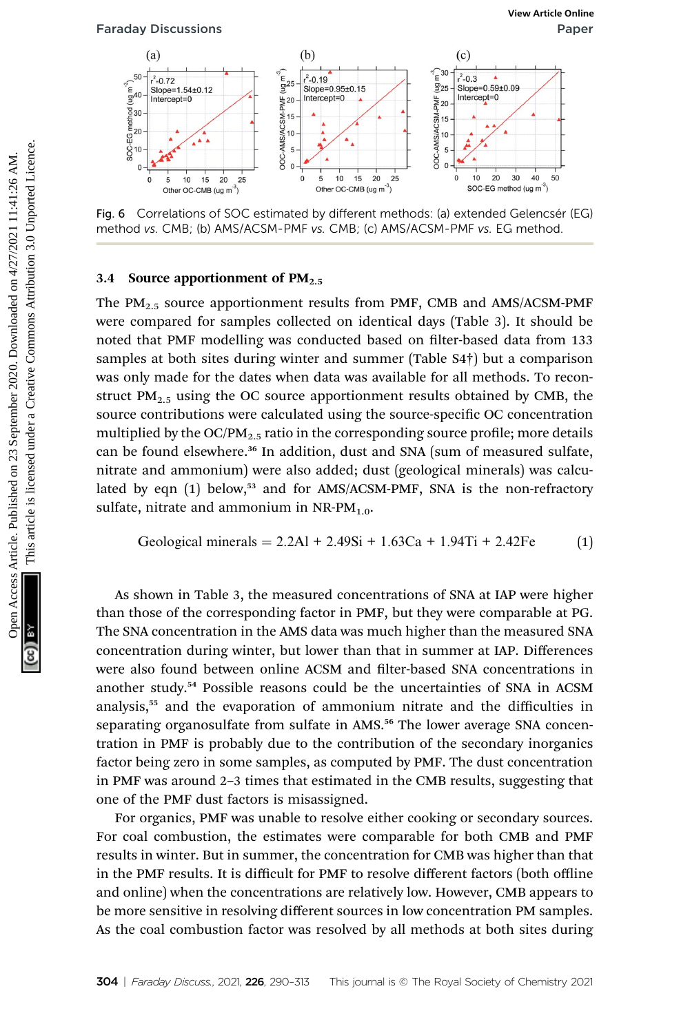

Fig. 6 Correlations of SOC estimated by different methods: (a) extended Gelencsér (EG) method vs. CMB; (b) AMS/ACSM-PMF vs. CMB; (c) AMS/ACSM-PMF vs. EG method.

### 3.4 Source apportionment of  $PM_{2.5}$

The  $PM_2$ <sub>5</sub> source apportionment results from PMF, CMB and AMS/ACSM-PMF were compared for samples collected on identical days (Table 3). It should be noted that PMF modelling was conducted based on filter-based data from 133 samples at both sites during winter and summer (Table S4†) but a comparison was only made for the dates when data was available for all methods. To reconstruct  $PM<sub>2.5</sub>$  using the OC source apportionment results obtained by CMB, the source contributions were calculated using the source-specific OC concentration multiplied by the  $OC/PM_2$ , ratio in the corresponding source profile; more details can be found elsewhere.<sup>36</sup> In addition, dust and SNA (sum of measured sulfate, nitrate and ammonium) were also added; dust (geological minerals) was calculated by eqn (1) below,<sup>53</sup> and for AMS/ACSM-PMF, SNA is the non-refractory sulfate, nitrate and ammonium in  $NR$ - $PM_{1.0}$ . Fartiday Discussions<br>
(b)<br>  $\frac{1}{2}$ <br>  $\frac{1}{2}$ <br>  $\frac{1}{2}$ <br>  $\frac{1}{2}$ <br>  $\frac{1}{2}$ <br>  $\frac{1}{2}$ <br>  $\frac{1}{2}$ <br>  $\frac{1}{2}$ <br>  $\frac{1}{2}$ <br>  $\frac{1}{2}$ <br>  $\frac{1}{2}$ <br>  $\frac{1}{2}$ <br>  $\frac{1}{2}$ <br>  $\frac{1}{2}$ <br>  $\frac{1}{2}$ <br>  $\frac{1}{2}$ <br>  $\frac{1}{2}$ <br>  $\frac{1}{2$ 

Geological minerals = 
$$
2.2Al + 2.49Si + 1.63Ca + 1.94Ti + 2.42Fe
$$
 (1)

As shown in Table 3, the measured concentrations of SNA at IAP were higher than those of the corresponding factor in PMF, but they were comparable at PG. The SNA concentration in the AMS data was much higher than the measured SNA concentration during winter, but lower than that in summer at IAP. Differences were also found between online ACSM and filter-based SNA concentrations in another study.<sup>54</sup> Possible reasons could be the uncertainties of SNA in ACSM analysis,<sup>55</sup> and the evaporation of ammonium nitrate and the difficulties in separating organosulfate from sulfate in AMS.<sup>56</sup> The lower average SNA concentration in PMF is probably due to the contribution of the secondary inorganics factor being zero in some samples, as computed by PMF. The dust concentration in PMF was around 2–3 times that estimated in the CMB results, suggesting that one of the PMF dust factors is misassigned.

For organics, PMF was unable to resolve either cooking or secondary sources. For coal combustion, the estimates were comparable for both CMB and PMF results in winter. But in summer, the concentration for CMB was higher than that in the PMF results. It is difficult for PMF to resolve different factors (both offline and online) when the concentrations are relatively low. However, CMB appears to be more sensitive in resolving different sources in low concentration PM samples. As the coal combustion factor was resolved by all methods at both sites during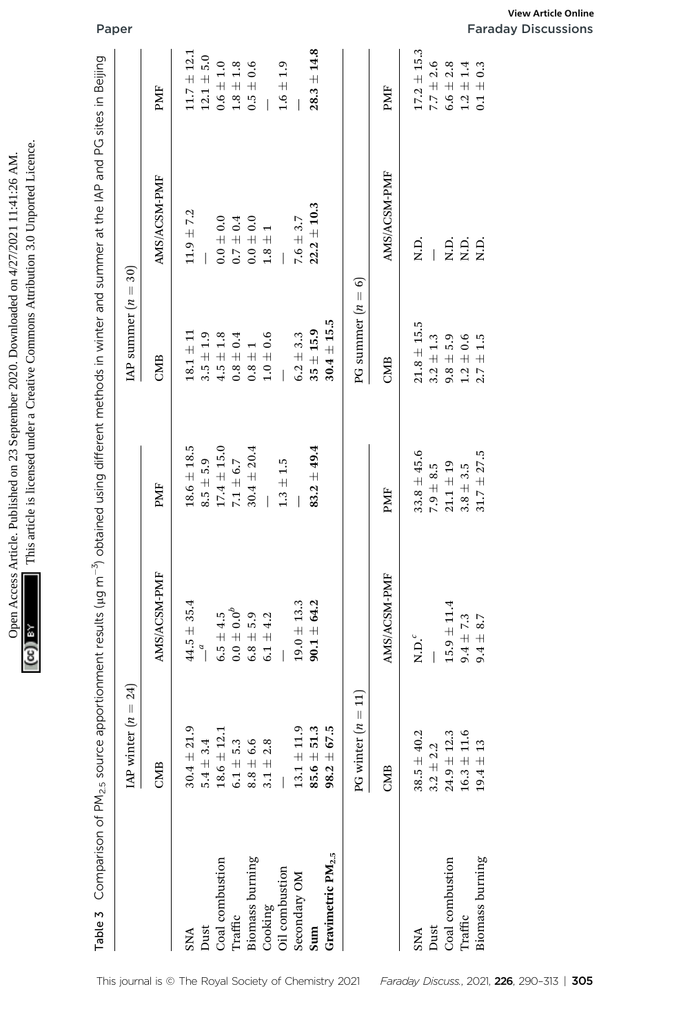| $A \cong A \cap T \cap \cap \cap T$ is a set of $A \cap T$<br>ネンゴ トラブライフィー<br>hon Douglood<br>シュ コンコン・プリ<br>" nen Access Article. Published on 73 Sentember<br>anom on 2. | A secondo la professor de la mondo de<br>umuu u Ulu |
|---------------------------------------------------------------------------------------------------------------------------------------------------------------------------|-----------------------------------------------------|
|                                                                                                                                                                           |                                                     |
|                                                                                                                                                                           | ì<br>١                                              |

|                               |                                                           |                            |                 | Table 3 Comparison of PM <sub>2.5</sub> source apportionment results (µg m <sup>-3</sup> ) obtained using different methods in winter and summer at the IAP and PG sites in Beijing |                 |                          |
|-------------------------------|-----------------------------------------------------------|----------------------------|-----------------|-------------------------------------------------------------------------------------------------------------------------------------------------------------------------------------|-----------------|--------------------------|
|                               | $= 24$<br>IAP winter $(n)$                                |                            |                 | LAP summer $(n =$                                                                                                                                                                   | 30)             |                          |
|                               | CMB                                                       | AMS/ACSM-PMF               | PMF             | CMB                                                                                                                                                                                 | AMS/ACSM-PMF    | PMF                      |
| <b>SNA</b>                    | $30.4 \pm 21.9$                                           | $44.5 \pm 35.4$            | $18.6 \pm 18.5$ | $18.1 \pm 11$                                                                                                                                                                       | $11.9 \pm 7.2$  | $11.7 \pm 12.1$          |
| Dust                          | $5.4 \pm 3.4$                                             | $\overline{a}$             | $8.5 \pm 5.9$   | $3.5 \pm 1.9$                                                                                                                                                                       |                 | $12.1 \pm 5.0$           |
| Coal combustion               | $18.6 \pm 12.1$                                           | $6.5 \pm 4.5$              | $17.4 \pm 15.0$ | $4.5 \pm 1.8$                                                                                                                                                                       | $0.0 \pm 0.0$   | $0.6\pm1.0$              |
| Traffic                       | $6.1 + 5.3$                                               | $0.0\pm0.0^b$              | $7.1\pm6.7$     | $0.8 \pm 0.4$                                                                                                                                                                       | $0.7 \pm 0.4$   | $\boldsymbol{1.8\pm1.8}$ |
| Biomass burning               | $\begin{array}{c} 8.8 \pm 6.6 \\ 3.1 \pm 2.8 \end{array}$ | $6.8 \pm 5.9$              | $30.4 \pm 20.4$ | $0.8\pm1$                                                                                                                                                                           | $0.0 + 0.0$     | $0.5\,\pm\,0.6$          |
| Cooking                       |                                                           | $6.1 + 4.2$                |                 | $1.0\pm0.6$                                                                                                                                                                         | $1.8\pm1$       |                          |
| Oil combustion                |                                                           |                            | $1.3\pm1.5$     |                                                                                                                                                                                     |                 | $1.6\pm1.9$              |
| Secondary OM                  | $13.1 \pm 11.9$                                           | $19.0 \pm 13.3$            |                 | $6.2 \pm 3.3$                                                                                                                                                                       | $7.6 \pm 3.7$   |                          |
| Sum                           | $85.6 \pm 51.3$                                           | $90.1 \pm 64.2$            | $83.2 \pm 49.4$ | $35 + 15.9$                                                                                                                                                                         | $22.2 \pm 10.3$ | $28.3 \pm 14.8$          |
| Gravimetric PM <sub>2.5</sub> | $98.2 + 67.5$                                             |                            |                 | $30.4 \pm 15.5$                                                                                                                                                                     |                 |                          |
|                               | $\Xi$<br>PG winter $(n =$                                 |                            |                 | $\vert\vert$<br>PG summer $(n$                                                                                                                                                      | ତ               |                          |
|                               | CMB                                                       | AMS/ACSM-PMF               | PMF             | CMB                                                                                                                                                                                 | AMS/ACSM-PMF    | PMF                      |
| <b>SNA</b>                    | $38.5 \pm 40.2$                                           | $\mathbf{N}.\mathbf{D}.^c$ | $33.8 \pm 45.6$ | $21.8 \pm 15.5$                                                                                                                                                                     | Q.<br>Z         | $17.2 \pm 15.3$          |
| Dust                          | $3.2\pm2.2$                                               |                            | $7.9 \pm 8.5$   | $3.2 \pm 1.3$                                                                                                                                                                       |                 | $7.7 \pm 2.6$            |
| Coal combustion               | $24.9 \pm 12.3$                                           | $15.9 \pm 11.4$            | $21.1 \pm 19$   | $9.8 \pm 5.9$                                                                                                                                                                       | R.D.            | $6.6 \pm 2.8$            |
| Traffic                       | $16.3 \pm 11.6$                                           | $9.4 \pm 7.3$              | $3.8 + 3.5$     | $\begin{array}{c} 1.2\,\pm\,0.6\\ 2.7\,\pm\,1.5 \end{array}$                                                                                                                        | R.D.            | $1.2\pm1.4$              |
| Biomass burning               | $19.4 \pm 13$                                             | $9.4 \pm 8.7$              | $31.7 \pm 27.5$ |                                                                                                                                                                                     | i<br>Ri         | $0.1 \pm 0.3$            |

| Secondary OM                         | $13.1 \pm 11.9$                       | $19.0 \pm 13.3$ | $\overline{\phantom{a}}$ | $6.2 \pm 3.3$                  | $7.6\pm3.7$          | $\begin{array}{c} \hline \end{array}$ |
|--------------------------------------|---------------------------------------|-----------------|--------------------------|--------------------------------|----------------------|---------------------------------------|
| Gravimetric PM <sub>2.5</sub><br>Sum | $98.2 \pm 67.5$<br>51.3<br>85.6 $\pm$ | $90.1 \pm 64.2$ | $83.2 + 49.4$            | $30.4 \pm 15.5$<br>$35 + 15.9$ | $22.2 \pm 10.3$      | $28.3 \pm 14.8$                       |
|                                      | PG winter $(n = 11)$                  |                 |                          | PG summer $(n = 6)$            |                      |                                       |
|                                      | CMB                                   | AMS/ACSM-PMF    | PMF                      | CMB                            | AMS/ACSM-PMF         | PMF                                   |
| <b>SNA</b>                           | $38.5 \pm 40.2$                       | $N.D.c$         | $33.8 \pm 45.6$          | $21.8\,\pm\,15.5$              | Q.<br>Z.             | $17.2 \pm 15.3$                       |
| Dust                                 | $3.2 \pm 2.2$                         |                 | 7.9 $\pm$ 8.5            | $3.2\pm1.3$                    |                      | $7.7 \pm 2.6$                         |
| Coal combustion                      | $24.9 \pm 12.3$                       | $15.9 \pm 11.4$ | $21.1 \pm 19$            | $9.8 \pm 5.9$                  |                      | $6.6 \pm 2.8$                         |
| Traffic                              | $16.3 \pm 11.6$                       | $9.4 \pm 7.3$   | $3.8\,\pm\,3.5$          | $1.2\,\pm\,0.6$                | R.D.<br>X.D.<br>X.D. | $1.2\pm1.4$                           |
| Biomass burning                      | $19.4 \pm 13$                         | $9.4 \pm 8.7$   | $31.7\pm27.5$            | $2.7 \pm 1.5$                  |                      | $0.1 \pm 0.3$                         |

Paper Faraday Discussions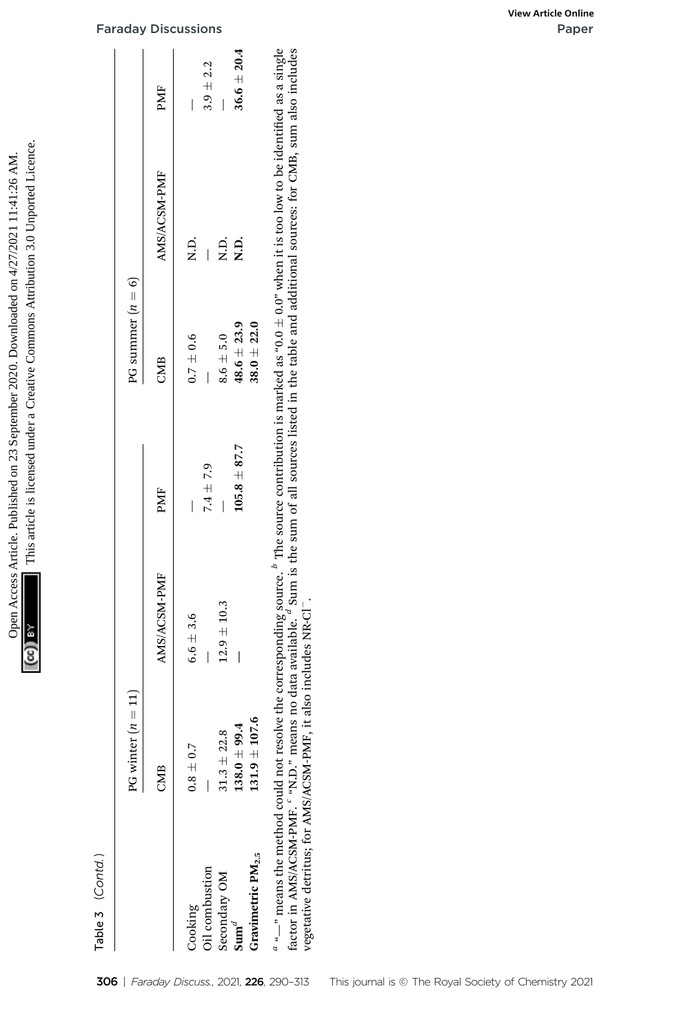| <b>Transfer on <math>4/2/2</math> 11</b>                                                        |                                                                                            |
|-------------------------------------------------------------------------------------------------|--------------------------------------------------------------------------------------------|
| le Published on 73 September 2020. Download<br>01 2020. DO<br>ind<br>22.23<br><b>CEA MARGET</b> | $\frac{1}{2}$ is licensed under a Creative Commons Attribution 3<br>コンコン<br>$\overline{1}$ |
| Then Access Article. 1                                                                          |                                                                                            |

| $36.6 \pm 20.4$<br>$3.9 \pm 2.2$<br>PMF<br>AMS/ACSM-PMF<br>N.D.<br>Q.<br>N.D.<br>R.D.<br>PG summer $(n = 6)$<br>$38.0 + 22.0$<br>$48.6 \pm 23.9$<br>$8.6\,\pm\,5.0$<br>$0.7 \pm 0.6$<br>CMB<br>$105.8 \pm 87.7$<br>$7.4 \pm 7.9$<br>PMF | $\alpha$ "—" means the method could not resolve the corresponding source. $^b$ The source contribution is marked as "0.0 ± 0.0" when it is too low to be identified as a single factor in AMS/ACSM-PMF. " "N.D." means no data av<br>AMS/ACSM-PMF<br>$12.9 \pm 10.3$<br>$6.6 \pm 3.6$ |  | <b>Faraday Discussions</b>                                                                     | View Article Online |
|-----------------------------------------------------------------------------------------------------------------------------------------------------------------------------------------------------------------------------------------|---------------------------------------------------------------------------------------------------------------------------------------------------------------------------------------------------------------------------------------------------------------------------------------|--|------------------------------------------------------------------------------------------------|---------------------|
|                                                                                                                                                                                                                                         |                                                                                                                                                                                                                                                                                       |  |                                                                                                |                     |
|                                                                                                                                                                                                                                         |                                                                                                                                                                                                                                                                                       |  |                                                                                                |                     |
|                                                                                                                                                                                                                                         |                                                                                                                                                                                                                                                                                       |  |                                                                                                |                     |
|                                                                                                                                                                                                                                         |                                                                                                                                                                                                                                                                                       |  |                                                                                                |                     |
| vegetative detritus; for AMS/ACSM-PMF, it also includes NR-Cl<br>$\Xi$<br>PG winter $(n =$<br>$131.9 \pm 107.6$<br>$138.0 + 99.4$<br>$31.3\pm22.8$<br>$0.8 \pm 0.7$<br>CMB                                                              |                                                                                                                                                                                                                                                                                       |  | Gravimetric PM <sub>2.5</sub><br>Oil combustion<br>Secondary OM<br>Cooking<br>$\mathbf{Sum}^d$ |                     |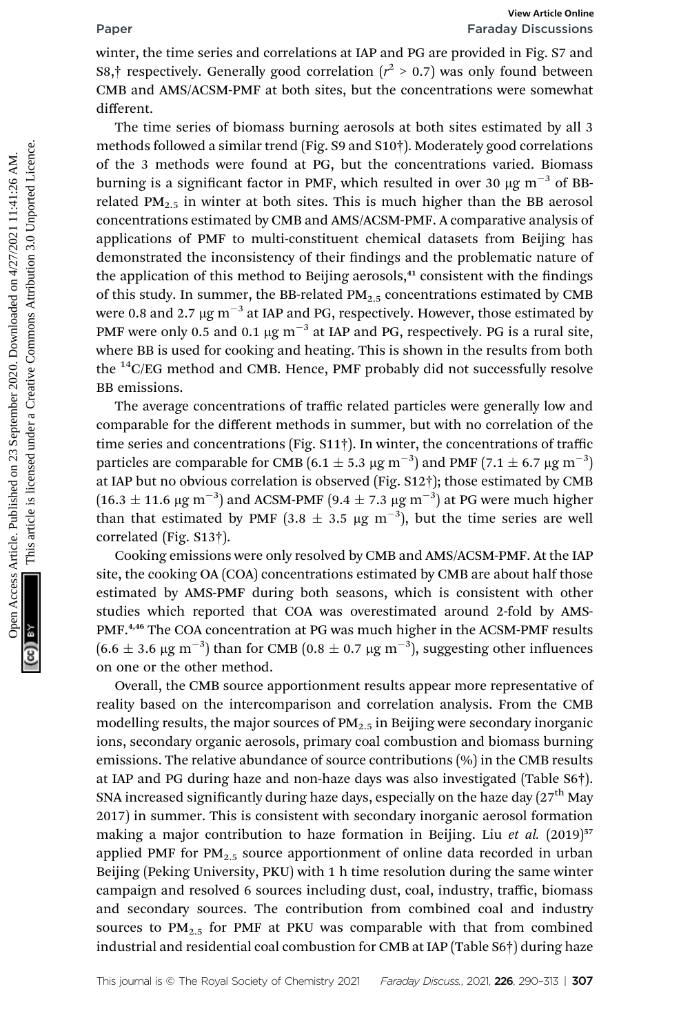# Paper Faraday Discussions

winter, the time series and correlations at IAP and PG are provided in Fig. S7 and S8,† respectively. Generally good correlation  $(r^2 > 0.7)$  was only found between<br>CMB and AMS/ACSM-DME at both sites, but the concentrations were somewhat CMB and AMS/ACSM-PMF at both sites, but the concentrations were somewhat different.

The time series of biomass burning aerosols at both sites estimated by all 3 methods followed a similar trend (Fig. S9 and S10†). Moderately good correlations of the 3 methods were found at PG, but the concentrations varied. Biomass burning is a significant factor in PMF, which resulted in over 30  $\mu$ g m<sup>-3</sup> of BBrelated  $PM_{2.5}$  in winter at both sites. This is much higher than the BB aerosol concentrations estimated by CMB and AMS/ACSM-PMF. A comparative analysis of applications of PMF to multi-constituent chemical datasets from Beijing has demonstrated the inconsistency of their findings and the problematic nature of the application of this method to Beijing aerosols,<sup>41</sup> consistent with the findings of this study. In summer, the BB-related  $PM<sub>2.5</sub>$  concentrations estimated by CMB were 0.8 and 2.7  $\mu$ g m<sup>-3</sup> at IAP and PG, respectively. However, those estimated by PMF were only 0.5 and 0.1  $\mu$ g m<sup>-3</sup> at IAP and PG, respectively. PG is a rural site, where BB is used for cooking and heating. This is shown in the results from both the  ${}^{14}$ C/EG method and CMB. Hence, PMF probably did not successfully resolve BB emissions. **Paper**<br>
Faraday Discussions<br>
winter, the time series and correlation ( $\vec{r}^2 > 0.7$ ) was only found between<br>
CMB and AMS/ACSM-PMF at both sites, but the concentrations were somewhat<br>
different.<br>
CMB and AMS/ACSM-PMF at

The average concentrations of traffic related particles were generally low and comparable for the different methods in summer, but with no correlation of the time series and concentrations (Fig. S11†). In winter, the concentrations of traffi<sup>c</sup> particles are comparable for CMB (6.1  $\pm$  5.3  $\mu$ g m<sup>-3</sup>) and PMF (7.1  $\pm$  6.7  $\mu$ g m<sup>-3</sup>) at IAP but no obvious correlation is observed (Fig. S12†); those estimated by CMB (16.3  $\pm$  11.6 µg m<sup>-3</sup>) and ACSM-PMF (9.4  $\pm$  7.3 µg m<sup>-3</sup>) at PG were much higher than that estimated by PMF  $(3.8 \pm 3.5 \mu g \text{ m}^{-3})$ , but the time series are well correlated (Fig. S13†).

Cooking emissions were only resolved by CMB and AMS/ACSM-PMF. At the IAP site, the cooking OA (COA) concentrations estimated by CMB are about half those estimated by AMS-PMF during both seasons, which is consistent with other studies which reported that COA was overestimated around 2-fold by AMS-PMF.<sup>4,46</sup> The COA concentration at PG was much higher in the ACSM-PMF results  $(6.6 \pm 3.6 \,\mathrm{\upmu g\,m}^{-3})$  than for CMB  $(0.8 \pm 0.7 \,\mathrm{\upmu g\,m}^{-3})$ , suggesting other influences on one or the other method.

Overall, the CMB source apportionment results appear more representative of reality based on the intercomparison and correlation analysis. From the CMB modelling results, the major sources of  $PM_{2.5}$  in Beijing were secondary inorganic ions, secondary organic aerosols, primary coal combustion and biomass burning emissions. The relative abundance of source contributions (%) in the CMB results at IAP and PG during haze and non-haze days was also investigated (Table S6†). SNA increased significantly during haze days, especially on the haze day  $(27<sup>th</sup>$  May 2017) in summer. This is consistent with secondary inorganic aerosol formation making a major contribution to haze formation in Beijing. Liu et al. (2019)<sup>57</sup> applied PMF for  $PM_{2.5}$  source apportionment of online data recorded in urban Beijing (Peking University, PKU) with 1 h time resolution during the same winter campaign and resolved 6 sources including dust, coal, industry, traffic, biomass and secondary sources. The contribution from combined coal and industry sources to  $PM_{2.5}$  for PMF at PKU was comparable with that from combined industrial and residential coal combustion for CMB at IAP (Table S6†) during haze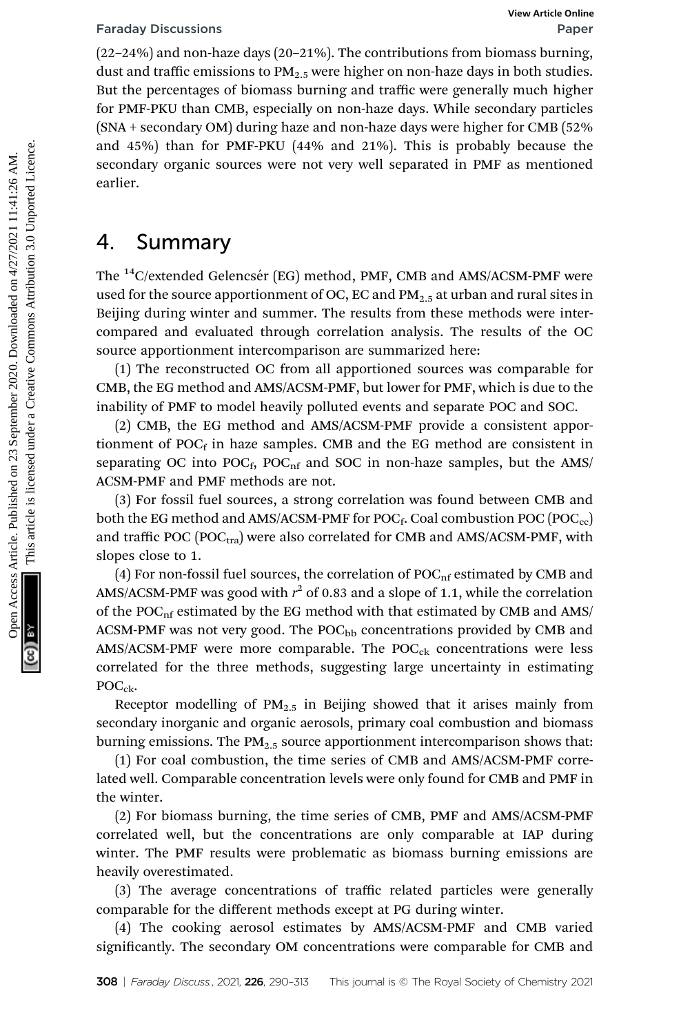(22–24%) and non-haze days (20–21%). The contributions from biomass burning, dust and traffic emissions to  $PM_{2.5}$  were higher on non-haze days in both studies. But the percentages of biomass burning and traffic were generally much higher for PMF-PKU than CMB, especially on non-haze days. While secondary particles (SNA + secondary OM) during haze and non-haze days were higher for CMB (52% and 45%) than for PMF-PKU (44% and 21%). This is probably because the secondary organic sources were not very well separated in PMF as mentioned earlier. Faraday Discussions<br>
(22-24%) The contributions from biomass burning<br>
dust and non-haze dust in the percentages of biomass burning and traffic were generally much higher<br>
dust and After Unkm CMB, especially on non-haze du

# 4. Summary

The <sup>14</sup>C/extended Gelencsér (EG) method, PMF, CMB and AMS/ACSM-PMF were used for the source apportionment of OC, EC and  $PM<sub>2.5</sub>$  at urban and rural sites in Beijing during winter and summer. The results from these methods were intercompared and evaluated through correlation analysis. The results of the OC source apportionment intercomparison are summarized here:

(1) The reconstructed OC from all apportioned sources was comparable for CMB, the EG method and AMS/ACSM-PMF, but lower for PMF, which is due to the inability of PMF to model heavily polluted events and separate POC and SOC.

(2) CMB, the EG method and AMS/ACSM-PMF provide a consistent apportionment of  $POC<sub>f</sub>$  in haze samples. CMB and the EG method are consistent in separating OC into  $POC_f$ ,  $POC_{nf}$  and SOC in non-haze samples, but the AMS/ ACSM-PMF and PMF methods are not.

(3) For fossil fuel sources, a strong correlation was found between CMB and both the EG method and AMS/ACSM-PMF for POC<sub>f</sub>. Coal combustion POC (POC<sub>cc</sub>) and traffic POC (POC $_{\text{tra}}$ ) were also correlated for CMB and AMS/ACSM-PMF, with slopes close to 1.

(4) For non-fossil fuel sources, the correlation of  $\textrm{POC}_\textrm{nf}$  estimated by CMB and AMS/ACSM-PMF was good with  $r^2$  of 0.83 and a slope of 1.1, while the correlation of the  $POC<sub>nf</sub>$  estimated by the EG method with that estimated by CMB and AMS/ ACSM-PMF was not very good. The  $POC<sub>bb</sub>$  concentrations provided by CMB and  $AMS/ACSM-PMF$  were more comparable. The  $POC_{ck}$  concentrations were less correlated for the three methods, suggesting large uncertainty in estimating  $\text{POC}_{\text{ck}}$ .

Receptor modelling of  $PM_{2.5}$  in Beijing showed that it arises mainly from secondary inorganic and organic aerosols, primary coal combustion and biomass burning emissions. The  $PM_{2.5}$  source apportionment intercomparison shows that:

(1) For coal combustion, the time series of CMB and AMS/ACSM-PMF correlated well. Comparable concentration levels were only found for CMB and PMF in the winter.

(2) For biomass burning, the time series of CMB, PMF and AMS/ACSM-PMF correlated well, but the concentrations are only comparable at IAP during winter. The PMF results were problematic as biomass burning emissions are heavily overestimated.

(3) The average concentrations of traffic related particles were generally comparable for the different methods except at PG during winter.

(4) The cooking aerosol estimates by AMS/ACSM-PMF and CMB varied significantly. The secondary OM concentrations were comparable for CMB and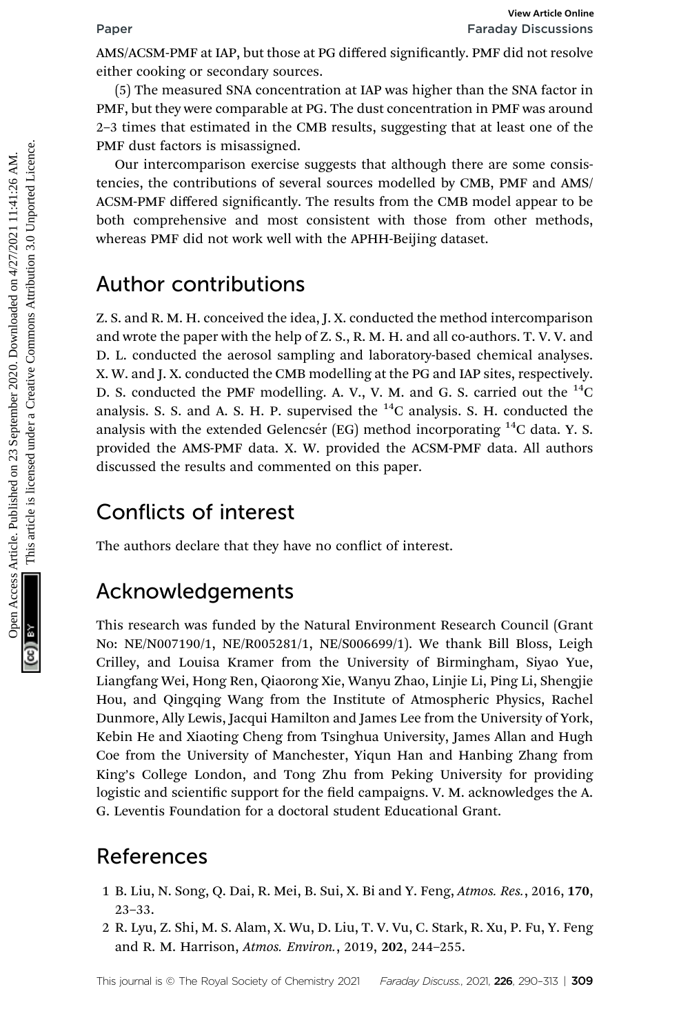AMS/ACSM-PMF at IAP, but those at PG differed signicantly. PMF did not resolve either cooking or secondary sources.

(5) The measured SNA concentration at IAP was higher than the SNA factor in PMF, but they were comparable at PG. The dust concentration in PMF was around 2–3 times that estimated in the CMB results, suggesting that at least one of the PMF dust factors is misassigned.

Our intercomparison exercise suggests that although there are some consistencies, the contributions of several sources modelled by CMB, PMF and AMS/ ACSM-PMF differed significantly. The results from the CMB model appear to be both comprehensive and most consistent with those from other methods, whereas PMF did not work well with the APHH-Beijing dataset.

# Author contributions

Z. S. and R. M. H. conceived the idea, J. X. conducted the method intercomparison and wrote the paper with the help of Z. S., R. M. H. and all co-authors. T. V. V. and D. L. conducted the aerosol sampling and laboratory-based chemical analyses. X. W. and J. X. conducted the CMB modelling at the PG and IAP sites, respectively. D. S. conducted the PMF modelling. A. V., V. M. and G. S. carried out the  $^{14}$ C analysis. S. S. and A. S. H. P. supervised the  $^{14}$ C analysis. S. H. conducted the analysis with the extended Gelencsér (EG) method incorporating  $^{14}$ C data. Y. S. provided the AMS-PMF data. X. W. provided the ACSM-PMF data. All authors discussed the results and commented on this paper. Facebook Articles. Published on 23 September 2020. The measured SNA concentration at LAP was higher than the SNA factor in FMC in the system and the CMB article in CMB creative commonsion in FMC was streamed.<br>
September 20

# Conflicts of interest

The authors declare that they have no conflict of interest.

# Acknowledgements

This research was funded by the Natural Environment Research Council (Grant No: NE/N007190/1, NE/R005281/1, NE/S006699/1). We thank Bill Bloss, Leigh Crilley, and Louisa Kramer from the University of Birmingham, Siyao Yue, Liangfang Wei, Hong Ren, Qiaorong Xie, Wanyu Zhao, Linjie Li, Ping Li, Shengjie Hou, and Qingqing Wang from the Institute of Atmospheric Physics, Rachel Dunmore, Ally Lewis, Jacqui Hamilton and James Lee from the University of York, Kebin He and Xiaoting Cheng from Tsinghua University, James Allan and Hugh Coe from the University of Manchester, Yiqun Han and Hanbing Zhang from King's College London, and Tong Zhu from Peking University for providing logistic and scientific support for the field campaigns. V. M. acknowledges the A. G. Leventis Foundation for a doctoral student Educational Grant.

# References

- 1 B. Liu, N. Song, Q. Dai, R. Mei, B. Sui, X. Bi and Y. Feng, Atmos. Res., 2016, 170, 23–33.
- 2 R. Lyu, Z. Shi, M. S. Alam, X. Wu, D. Liu, T. V. Vu, C. Stark, R. Xu, P. Fu, Y. Feng and R. M. Harrison, Atmos. Environ., 2019, 202, 244–255.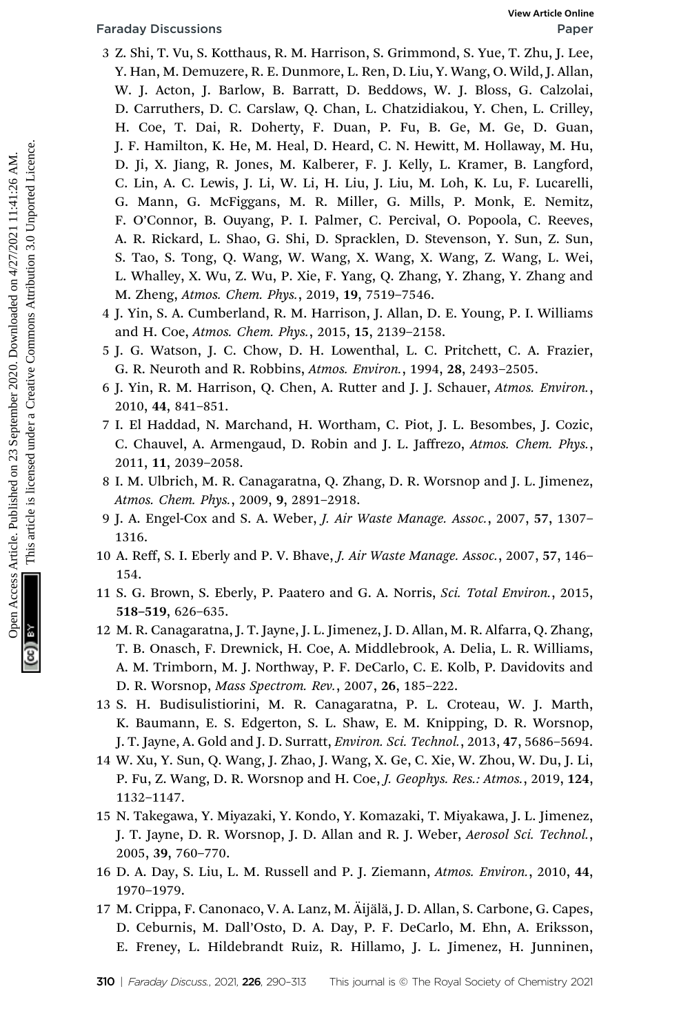- 3 Z. Shi, T. Vu, S. Kotthaus, R. M. Harrison, S. Grimmond, S. Yue, T. Zhu, J. Lee, Y. Han, M. Demuzere, R. E. Dunmore, L. Ren, D. Liu, Y. Wang, O. Wild, J. Allan, W. J. Acton, J. Barlow, B. Barratt, D. Beddows, W. J. Bloss, G. Calzolai, D. Carruthers, D. C. Carslaw, Q. Chan, L. Chatzidiakou, Y. Chen, L. Crilley, H. Coe, T. Dai, R. Doherty, F. Duan, P. Fu, B. Ge, M. Ge, D. Guan, J. F. Hamilton, K. He, M. Heal, D. Heard, C. N. Hewitt, M. Hollaway, M. Hu, D. Ji, X. Jiang, R. Jones, M. Kalberer, F. J. Kelly, L. Kramer, B. Langford, C. Lin, A. C. Lewis, J. Li, W. Li, H. Liu, J. Liu, M. Loh, K. Lu, F. Lucarelli, G. Mann, G. McFiggans, M. R. Miller, G. Mills, P. Monk, E. Nemitz, F. O'Connor, B. Ouyang, P. I. Palmer, C. Percival, O. Popoola, C. Reeves, A. R. Rickard, L. Shao, G. Shi, D. Spracklen, D. Stevenson, Y. Sun, Z. Sun, S. Tao, S. Tong, Q. Wang, W. Wang, X. Wang, X. Wang, Z. Wang, L. Wei, L. Whalley, X. Wu, Z. Wu, P. Xie, F. Yang, Q. Zhang, Y. Zhang, Y. Zhang and M. Zheng, Atmos. Chem. Phys., 2019, 19, 7519–7546. Faraday Discussions<br>
3 Z. Shi, T. Vu, S. Kotthaus, R. M. Harrison, S. Grimmond, S. Vue, T. Zhu, J. Lee,<br>
V. H. Article. P. C. Cashaw, Q. Caland, D. Barratt, D. Beddows, W. J. Bloss, G. Calzolai,<br>
D. Carriclers, D. C. Casha
	- 4 J. Yin, S. A. Cumberland, R. M. Harrison, J. Allan, D. E. Young, P. I. Williams and H. Coe, Atmos. Chem. Phys., 2015, 15, 2139–2158.
	- 5 J. G. Watson, J. C. Chow, D. H. Lowenthal, L. C. Pritchett, C. A. Frazier, G. R. Neuroth and R. Robbins, Atmos. Environ., 1994, 28, 2493–2505.
	- 6 J. Yin, R. M. Harrison, Q. Chen, A. Rutter and J. J. Schauer, Atmos. Environ., 2010, 44, 841–851.
	- 7 I. El Haddad, N. Marchand, H. Wortham, C. Piot, J. L. Besombes, J. Cozic, C. Chauvel, A. Armengaud, D. Robin and J. L. Jaffrezo, Atmos. Chem. Phys., 2011, 11, 2039–2058.
	- 8 I. M. Ulbrich, M. R. Canagaratna, Q. Zhang, D. R. Worsnop and J. L. Jimenez, Atmos. Chem. Phys., 2009, 9, 2891–2918.
	- 9 J. A. Engel-Cox and S. A. Weber, J. Air Waste Manage. Assoc., 2007, 57, 1307– 1316.
	- 10 A. Reff, S. I. Eberly and P. V. Bhave, J. Air Waste Manage. Assoc., 2007, 57, 146– 154.
	- 11 S. G. Brown, S. Eberly, P. Paatero and G. A. Norris, Sci. Total Environ., 2015, 518–519, 626–635.
	- 12 M. R. Canagaratna, J. T. Jayne, J. L. Jimenez, J. D. Allan, M. R. Alfarra, Q. Zhang, T. B. Onasch, F. Drewnick, H. Coe, A. Middlebrook, A. Delia, L. R. Williams, A. M. Trimborn, M. J. Northway, P. F. DeCarlo, C. E. Kolb, P. Davidovits and D. R. Worsnop, Mass Spectrom. Rev., 2007, 26, 185–222.
	- 13 S. H. Budisulistiorini, M. R. Canagaratna, P. L. Croteau, W. J. Marth, K. Baumann, E. S. Edgerton, S. L. Shaw, E. M. Knipping, D. R. Worsnop, J. T. Jayne, A. Gold and J. D. Surratt, *Environ. Sci. Technol.*, 2013, 47, 5686-5694.
	- 14 W. Xu, Y. Sun, Q. Wang, J. Zhao, J. Wang, X. Ge, C. Xie, W. Zhou, W. Du, J. Li, P. Fu, Z. Wang, D. R. Worsnop and H. Coe, J. Geophys. Res.: Atmos., 2019, 124, 1132–1147.
	- 15 N. Takegawa, Y. Miyazaki, Y. Kondo, Y. Komazaki, T. Miyakawa, J. L. Jimenez, J. T. Jayne, D. R. Worsnop, J. D. Allan and R. J. Weber, Aerosol Sci. Technol., 2005, 39, 760–770.
	- 16 D. A. Day, S. Liu, L. M. Russell and P. J. Ziemann, Atmos. Environ., 2010, 44, 1970–1979.
	- 17 M. Crippa, F. Canonaco, V. A. Lanz, M. Äijälä, J. D. Allan, S. Carbone, G. Capes, D. Ceburnis, M. Dall'Osto, D. A. Day, P. F. DeCarlo, M. Ehn, A. Eriksson, E. Freney, L. Hildebrandt Ruiz, R. Hillamo, J. L. Jimenez, H. Junninen,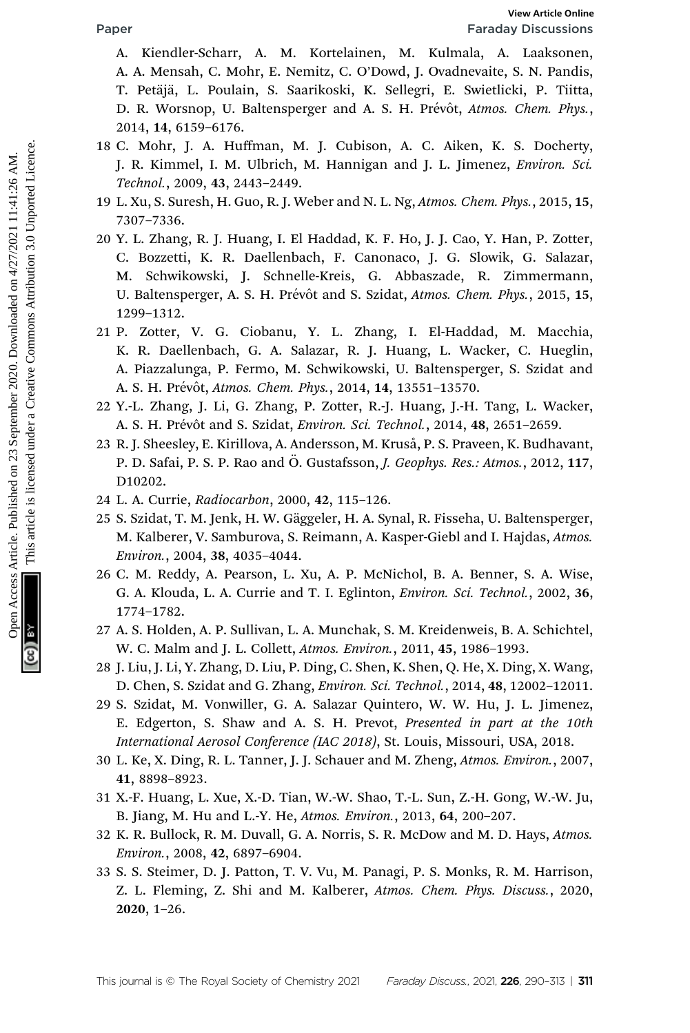A. Kiendler-Scharr, A. M. Kortelainen, M. Kulmala, A. Laaksonen, A. A. Mensah, C. Mohr, E. Nemitz, C. O'Dowd, J. Ovadnevaite, S. N. Pandis, T. Petäjä, L. Poulain, S. Saarikoski, K. Sellegri, E. Swietlicki, P. Tiitta, D. R. Worsnop, U. Baltensperger and A. S. H. Prévôt, Atmos. Chem. Phys., 2014, 14, 6159–6176.

- 18 C. Mohr, J. A. Huffman, M. J. Cubison, A. C. Aiken, K. S. Docherty, J. R. Kimmel, I. M. Ulbrich, M. Hannigan and J. L. Jimenez, Environ. Sci. Technol., 2009, 43, 2443–2449.
- 19 L. Xu, S. Suresh, H. Guo, R. J. Weber and N. L. Ng, Atmos. Chem. Phys., 2015, 15, 7307–7336.
- 20 Y. L. Zhang, R. J. Huang, I. El Haddad, K. F. Ho, J. J. Cao, Y. Han, P. Zotter, C. Bozzetti, K. R. Daellenbach, F. Canonaco, J. G. Slowik, G. Salazar, M. Schwikowski, J. Schnelle-Kreis, G. Abbaszade, R. Zimmermann, U. Baltensperger, A. S. H. Prévôt and S. Szidat, Atmos. Chem. Phys., 2015, 15, 1299–1312. Facebook Articles. Article. Published on 23 September 2020. Downloaded and Access Articles. Published and A. September 2021, A. A. This article is licensed under a A. S. Downloade under 2021, A. This article is licensed un
	- 21 P. Zotter, V. G. Ciobanu, Y. L. Zhang, I. El-Haddad, M. Macchia, K. R. Daellenbach, G. A. Salazar, R. J. Huang, L. Wacker, C. Hueglin, A. Piazzalunga, P. Fermo, M. Schwikowski, U. Baltensperger, S. Szidat and A. S. H. Prévôt, Atmos. Chem. Phys., 2014, 14, 13551-13570.
	- 22 Y.-L. Zhang, J. Li, G. Zhang, P. Zotter, R.-J. Huang, J.-H. Tang, L. Wacker, A. S. H. Prévôt and S. Szidat, Environ. Sci. Technol., 2014, 48, 2651-2659.
	- 23 R. J. Sheesley, E. Kirillova, A. Andersson, M. Kruså, P. S. Praveen, K. Budhavant, P. D. Safai, P. S. P. Rao and Ö. Gustafsson, J. Geophys. Res.: Atmos., 2012, 117, D10202.
	- 24 L. A. Currie, Radiocarbon, 2000, 42, 115–126.
	- 25 S. Szidat, T. M. Jenk, H. W. Gäggeler, H. A. Synal, R. Fisseha, U. Baltensperger, M. Kalberer, V. Samburova, S. Reimann, A. Kasper-Giebl and I. Hajdas, Atmos. Environ., 2004, 38, 4035–4044.
	- 26 C. M. Reddy, A. Pearson, L. Xu, A. P. McNichol, B. A. Benner, S. A. Wise, G. A. Klouda, L. A. Currie and T. I. Eglinton, Environ. Sci. Technol., 2002, 36, 1774–1782.
	- 27 A. S. Holden, A. P. Sullivan, L. A. Munchak, S. M. Kreidenweis, B. A. Schichtel, W. C. Malm and J. L. Collett, Atmos. Environ., 2011, 45, 1986–1993.
	- 28 J. Liu, J. Li, Y. Zhang, D. Liu, P. Ding, C. Shen, K. Shen, Q. He, X. Ding, X. Wang, D. Chen, S. Szidat and G. Zhang, Environ. Sci. Technol., 2014, 48, 12002–12011.
	- 29 S. Szidat, M. Vonwiller, G. A. Salazar Quintero, W. W. Hu, J. L. Jimenez, E. Edgerton, S. Shaw and A. S. H. Prevot, Presented in part at the 10th International Aerosol Conference (IAC 2018), St. Louis, Missouri, USA, 2018.
	- 30 L. Ke, X. Ding, R. L. Tanner, J. J. Schauer and M. Zheng, Atmos. Environ., 2007, 41, 8898–8923.
	- 31 X.-F. Huang, L. Xue, X.-D. Tian, W.-W. Shao, T.-L. Sun, Z.-H. Gong, W.-W. Ju, B. Jiang, M. Hu and L.-Y. He, Atmos. Environ., 2013, 64, 200–207.
	- 32 K. R. Bullock, R. M. Duvall, G. A. Norris, S. R. McDow and M. D. Hays, Atmos. Environ., 2008, 42, 6897–6904.
	- 33 S. S. Steimer, D. J. Patton, T. V. Vu, M. Panagi, P. S. Monks, R. M. Harrison, Z. L. Fleming, Z. Shi and M. Kalberer, Atmos. Chem. Phys. Discuss., 2020, 2020, 1–26.

This journal is © The Royal Society of Chemistry 2021 Faraday Discuss, 2021, 226, 290-313 | 311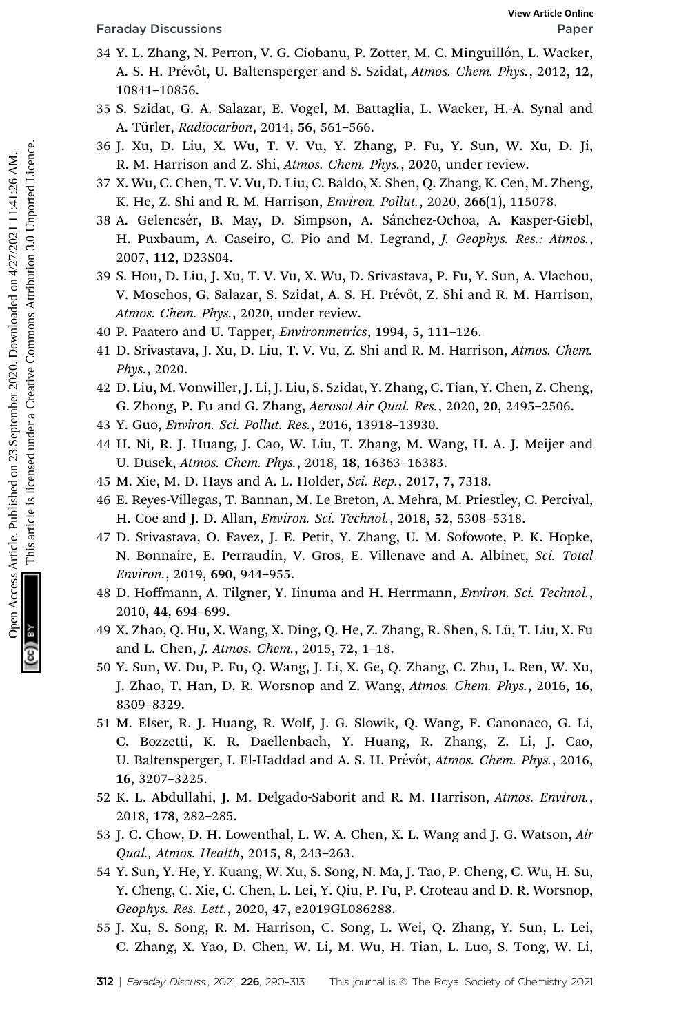- 34 Y. L. Zhang, N. Perron, V. G. Ciobanu, P. Zotter, M. C. Minguillón, L. Wacker, A. S. H. Prévôt, U. Baltensperger and S. Szidat, Atmos. Chem. Phys., 2012, 12, 10841–10856.
- 35 S. Szidat, G. A. Salazar, E. Vogel, M. Battaglia, L. Wacker, H.-A. Synal and A. Türler, Radiocarbon, 2014, 56, 561-566.
- 36 J. Xu, D. Liu, X. Wu, T. V. Vu, Y. Zhang, P. Fu, Y. Sun, W. Xu, D. Ji, R. M. Harrison and Z. Shi, Atmos. Chem. Phys., 2020, under review.
- 37 X. Wu, C. Chen, T. V. Vu, D. Liu, C. Baldo, X. Shen, Q. Zhang, K. Cen, M. Zheng, K. He, Z. Shi and R. M. Harrison, Environ. Pollut., 2020, 266(1), 115078.
- 38 A. Gelencsér, B. May, D. Simpson, A. Sánchez-Ochoa, A. Kasper-Giebl, H. Puxbaum, A. Caseiro, C. Pio and M. Legrand, J. Geophys. Res.: Atmos., 2007, 112, D23S04. Franchay Discussions<br>
Star V. L. Zhang, N. Percon, V. G. Clobanu, P. Zotter, M. C. Minchel, D., L. Wacchel, A. N. N. A. C.<br>
10841-10856.<br>
A. St. Eddin, G. M. Batter, Brad, A. Batter, H.A. Synal and<br>
St. St. Eddin, G. M. D.
	- 39 S. Hou, D. Liu, J. Xu, T. V. Vu, X. Wu, D. Srivastava, P. Fu, Y. Sun, A. Vlachou, V. Moschos, G. Salazar, S. Szidat, A. S. H. Prévôt, Z. Shi and R. M. Harrison, Atmos. Chem. Phys., 2020, under review.
	- 40 P. Paatero and U. Tapper, Environmetrics, 1994, 5, 111–126.
	- 41 D. Srivastava, J. Xu, D. Liu, T. V. Vu, Z. Shi and R. M. Harrison, Atmos. Chem. Phys., 2020.
	- 42 D. Liu, M. Vonwiller, J. Li, J. Liu, S. Szidat, Y. Zhang, C. Tian, Y. Chen, Z. Cheng, G. Zhong, P. Fu and G. Zhang, Aerosol Air Qual. Res., 2020, 20, 2495–2506.
	- 43 Y. Guo, Environ. Sci. Pollut. Res., 2016, 13918–13930.
	- 44 H. Ni, R. J. Huang, J. Cao, W. Liu, T. Zhang, M. Wang, H. A. J. Meijer and U. Dusek, Atmos. Chem. Phys., 2018, 18, 16363–16383.
	- 45 M. Xie, M. D. Hays and A. L. Holder, Sci. Rep., 2017, 7, 7318.
	- 46 E. Reyes-Villegas, T. Bannan, M. Le Breton, A. Mehra, M. Priestley, C. Percival, H. Coe and J. D. Allan, Environ. Sci. Technol., 2018, 52, 5308–5318.
	- 47 D. Srivastava, O. Favez, J. E. Petit, Y. Zhang, U. M. Sofowote, P. K. Hopke, N. Bonnaire, E. Perraudin, V. Gros, E. Villenave and A. Albinet, Sci. Total Environ., 2019, 690, 944–955.
	- 48 D. Hoffmann, A. Tilgner, Y. Iinuma and H. Herrmann, Environ. Sci. Technol., 2010, 44, 694–699.
	- 49 X. Zhao, Q. Hu, X. Wang, X. Ding, Q. He, Z. Zhang, R. Shen, S. Lü, T. Liu, X. Fu and L. Chen, J. Atmos. Chem., 2015, 72, 1–18.
	- 50 Y. Sun, W. Du, P. Fu, Q. Wang, J. Li, X. Ge, Q. Zhang, C. Zhu, L. Ren, W. Xu, J. Zhao, T. Han, D. R. Worsnop and Z. Wang, Atmos. Chem. Phys., 2016, 16, 8309–8329.
	- 51 M. Elser, R. J. Huang, R. Wolf, J. G. Slowik, Q. Wang, F. Canonaco, G. Li, C. Bozzetti, K. R. Daellenbach, Y. Huang, R. Zhang, Z. Li, J. Cao, U. Baltensperger, I. El-Haddad and A. S. H. Prévôt, Atmos. Chem. Phys., 2016, 16, 3207–3225.
	- 52 K. L. Abdullahi, J. M. Delgado-Saborit and R. M. Harrison, Atmos. Environ., 2018, 178, 282–285.
	- 53 J. C. Chow, D. H. Lowenthal, L. W. A. Chen, X. L. Wang and J. G. Watson, Air Qual., Atmos. Health, 2015, 8, 243–263.
	- 54 Y. Sun, Y. He, Y. Kuang, W. Xu, S. Song, N. Ma, J. Tao, P. Cheng, C. Wu, H. Su, Y. Cheng, C. Xie, C. Chen, L. Lei, Y. Qiu, P. Fu, P. Croteau and D. R. Worsnop, Geophys. Res. Lett., 2020, 47, e2019GL086288.
	- 55 J. Xu, S. Song, R. M. Harrison, C. Song, L. Wei, Q. Zhang, Y. Sun, L. Lei, C. Zhang, X. Yao, D. Chen, W. Li, M. Wu, H. Tian, L. Luo, S. Tong, W. Li,